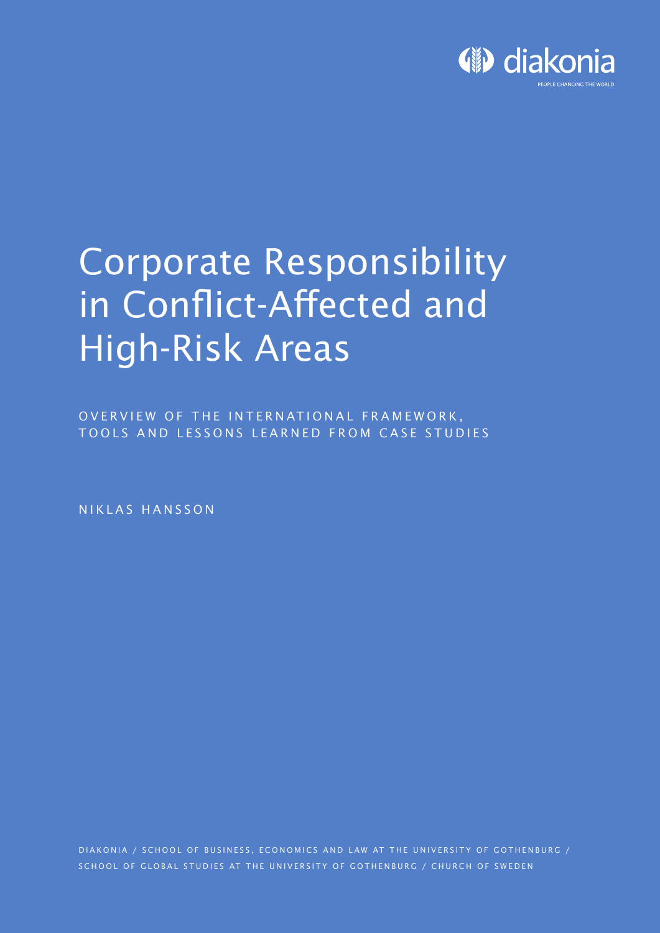

# **Corporate Responsibility** in Conflict-Affected and **High-Risk Areas**

OVERVIEW OF THE INTERNATIONAL FRAMEWORK, TOOLS AND LESSONS LEARNED FROM CASE STUDIES

NIKLAS HANSSON

DIAKONIA / SCHOOL OF BUSINESS, ECONOMICS AND LAW AT THE UNIVERSITY OF GOTHENBURG / SCHOOL OF GLOBAL STUDIES AT THE UNIVERSITY OF GOTHENBURG / CHURCH OF SWEDEN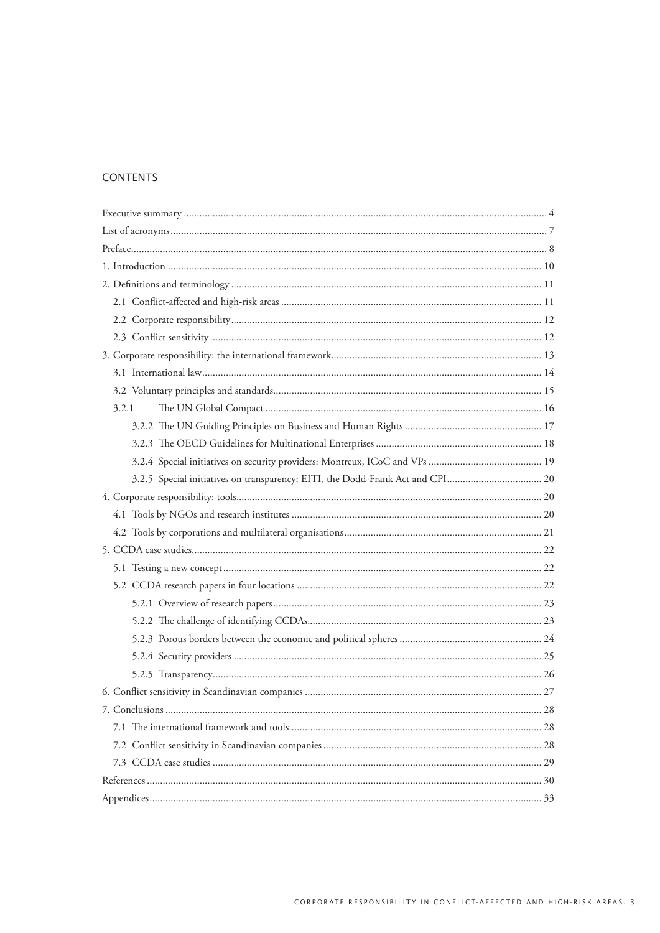# **CONTENTS**

| 3.2.1                                                                          |
|--------------------------------------------------------------------------------|
|                                                                                |
|                                                                                |
|                                                                                |
| 3.2.5 Special initiatives on transparency: EITI, the Dodd-Frank Act and CPI 20 |
|                                                                                |
|                                                                                |
|                                                                                |
|                                                                                |
|                                                                                |
|                                                                                |
|                                                                                |
|                                                                                |
|                                                                                |
|                                                                                |
|                                                                                |
|                                                                                |
|                                                                                |
|                                                                                |
|                                                                                |
|                                                                                |
|                                                                                |
|                                                                                |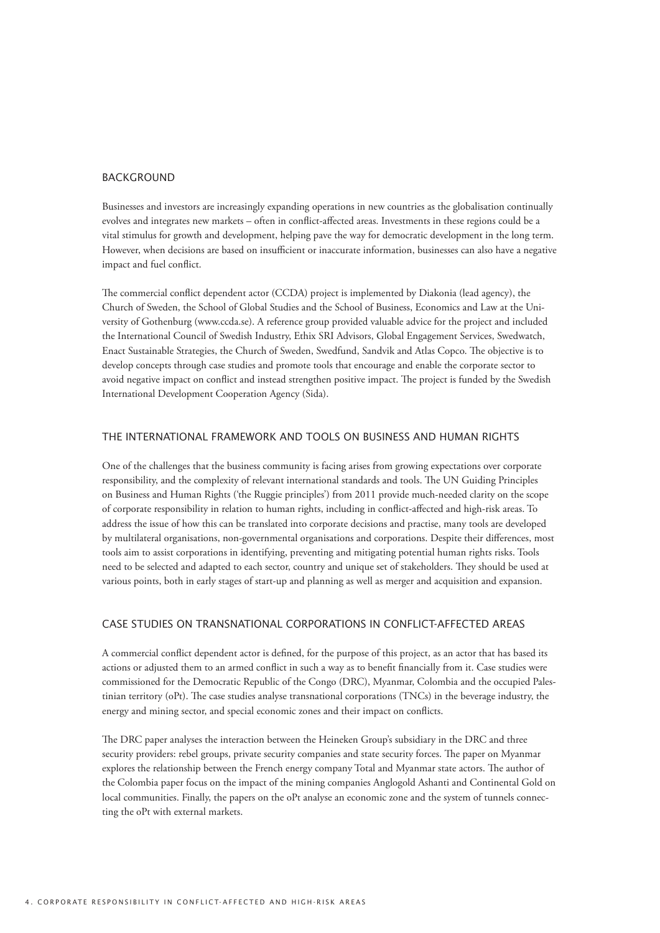#### **BACKGROUND**

Businesses and investors are increasingly expanding operations in new countries as the globalisation continually evolves and integrates new markets – often in conflict-affected areas. Investments in these regions could be a vital stimulus for growth and development, helping pave the way for democratic development in the long term. However, when decisions are based on insufficient or inaccurate information, businesses can also have a negative impact and fuel conflict.

The commercial conflict dependent actor (CCDA) project is implemented by Diakonia (lead agency), the Church of Sweden, the School of Global Studies and the School of Business, Economics and Law at the University of Gothenburg (www.ccda.se). A reference group provided valuable advice for the project and included the International Council of Swedish Industry, Ethix SRI Advisors, Global Engagement Services, Swedwatch, Enact Sustainable Strategies, the Church of Sweden, Swedfund, Sandvik and Atlas Copco. The objective is to develop concepts through case studies and promote tools that encourage and enable the corporate sector to avoid negative impact on conflict and instead strengthen positive impact. The project is funded by the Swedish International Development Cooperation Agency (Sida).

#### the international framework and tools on business and human rights

One of the challenges that the business community is facing arises from growing expectations over corporate responsibility, and the complexity of relevant international standards and tools. The UN Guiding Principles on Business and Human Rights ('the Ruggie principles') from 2011 provide much-needed clarity on the scope of corporate responsibility in relation to human rights, including in conflict-affected and high-risk areas. To address the issue of how this can be translated into corporate decisions and practise, many tools are developed by multilateral organisations, non-governmental organisations and corporations. Despite their differences, most tools aim to assist corporations in identifying, preventing and mitigating potential human rights risks. Tools need to be selected and adapted to each sector, country and unique set of stakeholders. They should be used at various points, both in early stages of start-up and planning as well as merger and acquisition and expansion.

# Case studies on transnational corporations in conflict-affected areas

A commercial conflict dependent actor is defined, for the purpose of this project, as an actor that has based its actions or adjusted them to an armed conflict in such a way as to benefit financially from it. Case studies were commissioned for the Democratic Republic of the Congo (DRC), Myanmar, Colombia and the occupied Palestinian territory (oPt). The case studies analyse transnational corporations (TNCs) in the beverage industry, the energy and mining sector, and special economic zones and their impact on conflicts.

The DRC paper analyses the interaction between the Heineken Group's subsidiary in the DRC and three security providers: rebel groups, private security companies and state security forces. The paper on Myanmar explores the relationship between the French energy company Total and Myanmar state actors. The author of the Colombia paper focus on the impact of the mining companies Anglogold Ashanti and Continental Gold on local communities. Finally, the papers on the oPt analyse an economic zone and the system of tunnels connecting the oPt with external markets.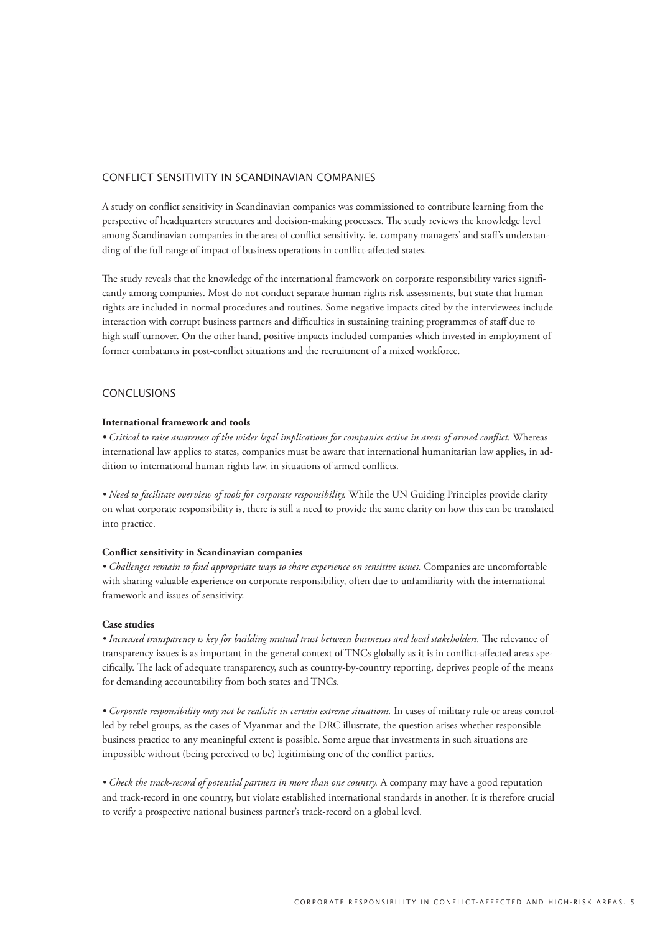#### Conflict sensitivity in Scandinavian companies

A study on conflict sensitivity in Scandinavian companies was commissioned to contribute learning from the perspective of headquarters structures and decision-making processes. The study reviews the knowledge level among Scandinavian companies in the area of conflict sensitivity, ie. company managers' and staff's understanding of the full range of impact of business operations in conflict-affected states.

The study reveals that the knowledge of the international framework on corporate responsibility varies significantly among companies. Most do not conduct separate human rights risk assessments, but state that human rights are included in normal procedures and routines. Some negative impacts cited by the interviewees include interaction with corrupt business partners and difficulties in sustaining training programmes of staff due to high staff turnover. On the other hand, positive impacts included companies which invested in employment of former combatants in post-conflict situations and the recruitment of a mixed workforce.

## **CONCLUSIONS**

#### **International framework and tools**

*• Critical to raise awareness of the wider legal implications for companies active in areas of armed conflict.* Whereas international law applies to states, companies must be aware that international humanitarian law applies, in addition to international human rights law, in situations of armed conflicts.

*• Need to facilitate overview of tools for corporate responsibility.* While the UN Guiding Principles provide clarity on what corporate responsibility is, there is still a need to provide the same clarity on how this can be translated into practice.

#### **Conflict sensitivity in Scandinavian companies**

*• Challenges remain to find appropriate ways to share experience on sensitive issues.* Companies are uncomfortable with sharing valuable experience on corporate responsibility, often due to unfamiliarity with the international framework and issues of sensitivity.

#### **Case studies**

*• Increased transparency is key for building mutual trust between businesses and local stakeholders.* The relevance of transparency issues is as important in the general context of TNCs globally as it is in conflict-affected areas specifically. The lack of adequate transparency, such as country-by-country reporting, deprives people of the means for demanding accountability from both states and TNCs.

*• Corporate responsibility may not be realistic in certain extreme situations.* In cases of military rule or areas controlled by rebel groups, as the cases of Myanmar and the DRC illustrate, the question arises whether responsible business practice to any meaningful extent is possible. Some argue that investments in such situations are impossible without (being perceived to be) legitimising one of the conflict parties.

• Check the track-record of potential partners in more than one country. A company may have a good reputation and track-record in one country, but violate established international standards in another. It is therefore crucial to verify a prospective national business partner's track-record on a global level.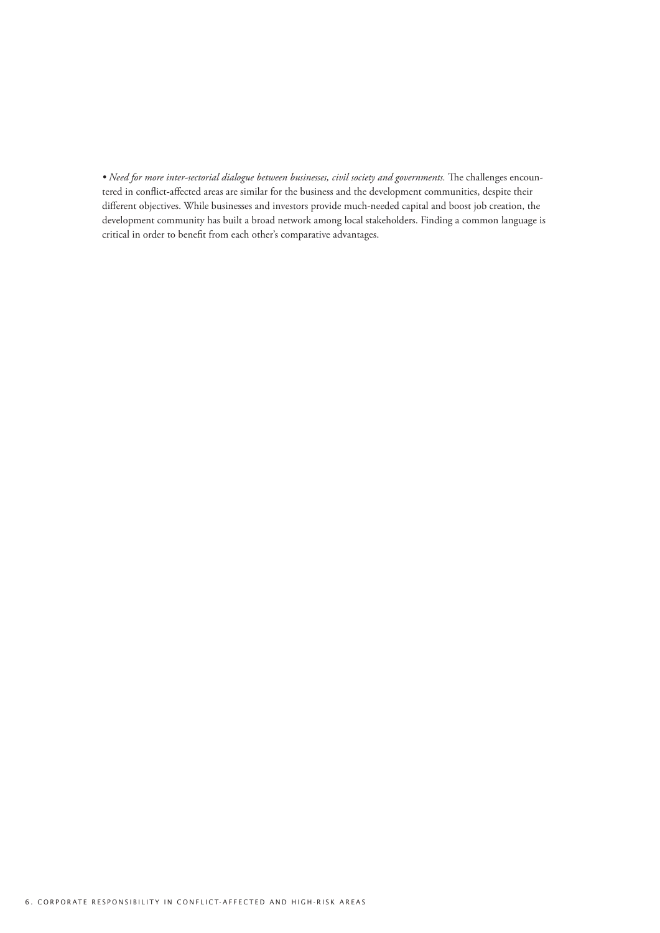· Need for more inter-sectorial dialogue between businesses, civil society and governments. The challenges encountered in conflict-affected areas are similar for the business and the development communities, despite their different objectives. While businesses and investors provide much-needed capital and boost job creation, the development community has built a broad network among local stakeholders. Finding a common language is critical in order to benefit from each other's comparative advantages.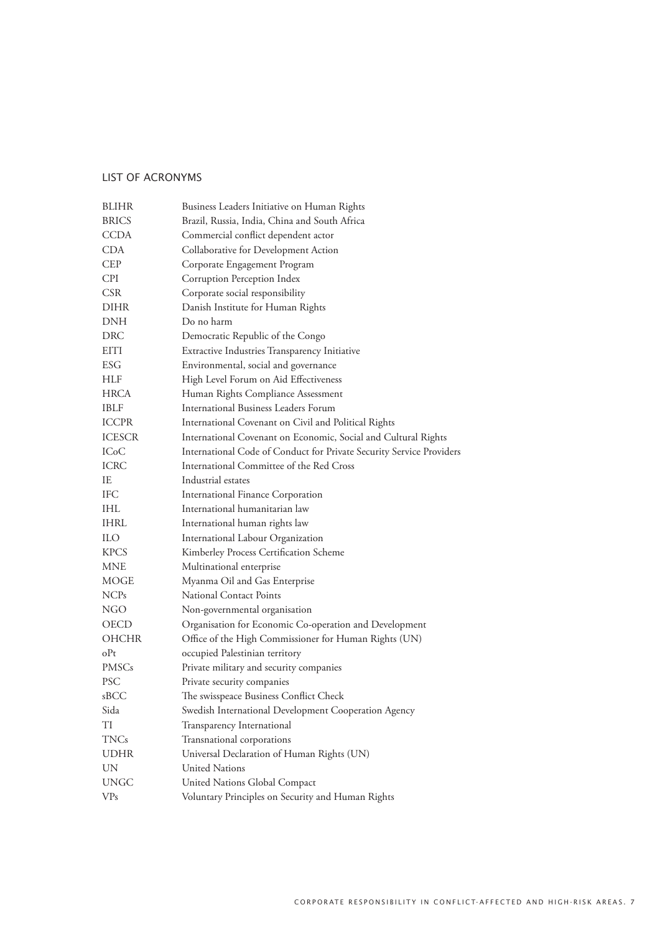# List of acronyms

| <b>BLIHR</b>      | Business Leaders Initiative on Human Rights                          |
|-------------------|----------------------------------------------------------------------|
| <b>BRICS</b>      | Brazil, Russia, India, China and South Africa                        |
| CCDA              | Commercial conflict dependent actor                                  |
| CDA               | Collaborative for Development Action                                 |
| CEP               | Corporate Engagement Program                                         |
| <b>CPI</b>        | Corruption Perception Index                                          |
| <b>CSR</b>        | Corporate social responsibility                                      |
| DIHR              | Danish Institute for Human Rights                                    |
| DNH               | Do no harm                                                           |
| DRC               | Democratic Republic of the Congo                                     |
| EITI              | Extractive Industries Transparency Initiative                        |
| ESG               | Environmental, social and governance                                 |
| HLF               | High Level Forum on Aid Effectiveness                                |
| HRCA              | Human Rights Compliance Assessment                                   |
| IBLF              | International Business Leaders Forum                                 |
| <b>ICCPR</b>      | International Covenant on Civil and Political Rights                 |
| <b>ICESCR</b>     | International Covenant on Economic, Social and Cultural Rights       |
| IC <sub>o</sub> C | International Code of Conduct for Private Security Service Providers |
| ICRC              | International Committee of the Red Cross                             |
| IE                | Industrial estates                                                   |
| IFC               | International Finance Corporation                                    |
| IHL               | International humanitarian law                                       |
| IHRL              | International human rights law                                       |
| <b>ILO</b>        | International Labour Organization                                    |
| KPCS              | Kimberley Process Certification Scheme                               |
| MNE               | Multinational enterprise                                             |
| MOGE              | Myanma Oil and Gas Enterprise                                        |
| NCP <sub>s</sub>  | National Contact Points                                              |
| NGO               | Non-governmental organisation                                        |
| OECD              | Organisation for Economic Co-operation and Development               |
| <b>OHCHR</b>      | Office of the High Commissioner for Human Rights (UN)                |
| oPt               | occupied Palestinian territory                                       |
| PMSCs             | Private military and security companies                              |
| <b>PSC</b>        | Private security companies                                           |
| sBCC              | The swisspeace Business Conflict Check                               |
| Sida              | Swedish International Development Cooperation Agency                 |
| TI                | Transparency International                                           |
| TNCs              | Transnational corporations                                           |
| <b>UDHR</b>       | Universal Declaration of Human Rights (UN)                           |
| UN                | United Nations                                                       |
| <b>UNGC</b>       | United Nations Global Compact                                        |
| <b>VPs</b>        | Voluntary Principles on Security and Human Rights                    |
|                   |                                                                      |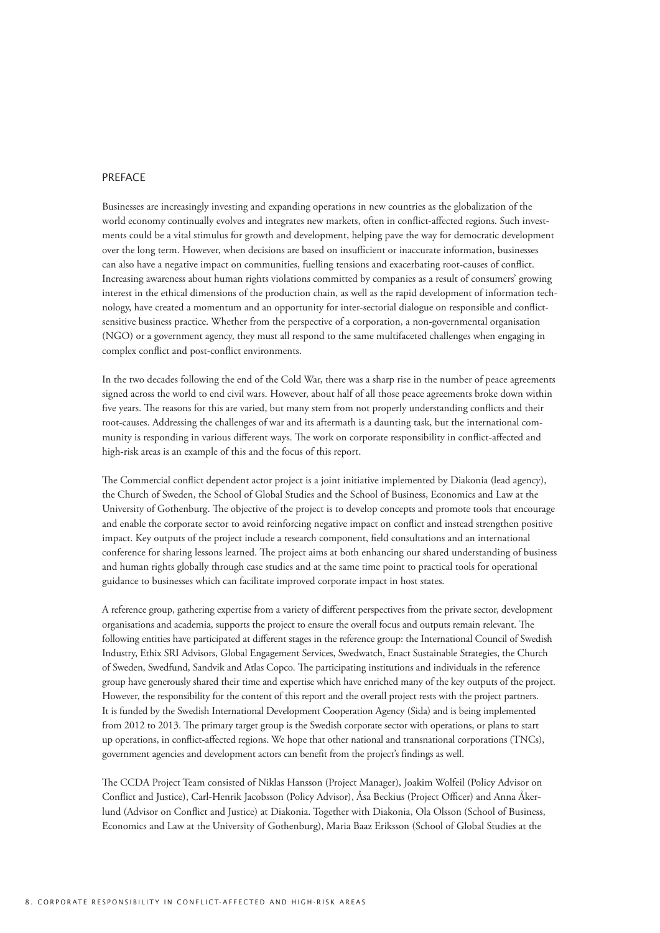#### **PREFACE**

Businesses are increasingly investing and expanding operations in new countries as the globalization of the world economy continually evolves and integrates new markets, often in conflict-affected regions. Such investments could be a vital stimulus for growth and development, helping pave the way for democratic development over the long term. However, when decisions are based on insufficient or inaccurate information, businesses can also have a negative impact on communities, fuelling tensions and exacerbating root-causes of conflict. Increasing awareness about human rights violations committed by companies as a result of consumers' growing interest in the ethical dimensions of the production chain, as well as the rapid development of information technology, have created a momentum and an opportunity for inter-sectorial dialogue on responsible and conflictsensitive business practice. Whether from the perspective of a corporation, a non-governmental organisation (NGO) or a government agency, they must all respond to the same multifaceted challenges when engaging in complex conflict and post-conflict environments.

In the two decades following the end of the Cold War, there was a sharp rise in the number of peace agreements signed across the world to end civil wars. However, about half of all those peace agreements broke down within five years. The reasons for this are varied, but many stem from not properly understanding conflicts and their root-causes. Addressing the challenges of war and its aftermath is a daunting task, but the international community is responding in various different ways. The work on corporate responsibility in conflict-affected and high-risk areas is an example of this and the focus of this report.

The Commercial conflict dependent actor project is a joint initiative implemented by Diakonia (lead agency), the Church of Sweden, the School of Global Studies and the School of Business, Economics and Law at the University of Gothenburg. The objective of the project is to develop concepts and promote tools that encourage and enable the corporate sector to avoid reinforcing negative impact on conflict and instead strengthen positive impact. Key outputs of the project include a research component, field consultations and an international conference for sharing lessons learned. The project aims at both enhancing our shared understanding of business and human rights globally through case studies and at the same time point to practical tools for operational guidance to businesses which can facilitate improved corporate impact in host states.

A reference group, gathering expertise from a variety of different perspectives from the private sector, development organisations and academia, supports the project to ensure the overall focus and outputs remain relevant. The following entities have participated at different stages in the reference group: the International Council of Swedish Industry, Ethix SRI Advisors, Global Engagement Services, Swedwatch, Enact Sustainable Strategies, the Church of Sweden, Swedfund, Sandvik and Atlas Copco. The participating institutions and individuals in the reference group have generously shared their time and expertise which have enriched many of the key outputs of the project. However, the responsibility for the content of this report and the overall project rests with the project partners. It is funded by the Swedish International Development Cooperation Agency (Sida) and is being implemented from 2012 to 2013. The primary target group is the Swedish corporate sector with operations, or plans to start up operations, in conflict-affected regions. We hope that other national and transnational corporations (TNCs), government agencies and development actors can benefit from the project's findings as well.

The CCDA Project Team consisted of Niklas Hansson (Project Manager), Joakim Wolfeil (Policy Advisor on Conflict and Justice), Carl-Henrik Jacobsson (Policy Advisor), Åsa Beckius (Project Officer) and Anna Åkerlund (Advisor on Conflict and Justice) at Diakonia. Together with Diakonia, Ola Olsson (School of Business, Economics and Law at the University of Gothenburg), Maria Baaz Eriksson (School of Global Studies at the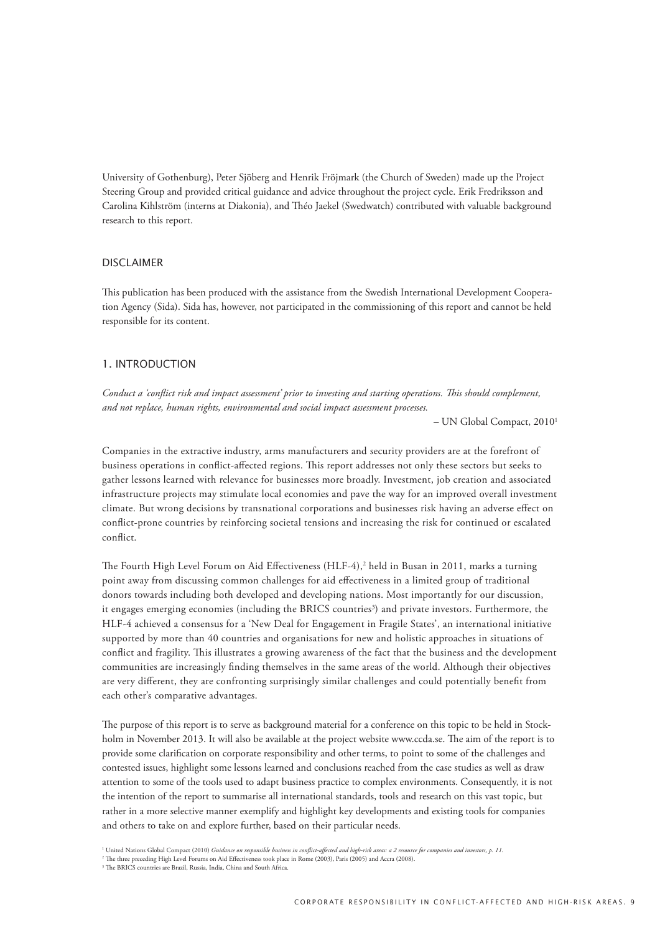University of Gothenburg), Peter Sjöberg and Henrik Fröjmark (the Church of Sweden) made up the Project Steering Group and provided critical guidance and advice throughout the project cycle. Erik Fredriksson and Carolina Kihlström (interns at Diakonia), and Théo Jaekel (Swedwatch) contributed with valuable background research to this report.

#### **DISCLAIMER**

This publication has been produced with the assistance from the Swedish International Development Cooperation Agency (Sida). Sida has, however, not participated in the commissioning of this report and cannot be held responsible for its content.

## 1. Introduction

*Conduct a 'conflict risk and impact assessment' prior to investing and starting operations. This should complement, and not replace, human rights, environmental and social impact assessment processes.* 

– UN Global Compact, 20101

Companies in the extractive industry, arms manufacturers and security providers are at the forefront of business operations in conflict-affected regions. This report addresses not only these sectors but seeks to gather lessons learned with relevance for businesses more broadly. Investment, job creation and associated infrastructure projects may stimulate local economies and pave the way for an improved overall investment climate. But wrong decisions by transnational corporations and businesses risk having an adverse effect on conflict-prone countries by reinforcing societal tensions and increasing the risk for continued or escalated conflict.

The Fourth High Level Forum on Aid Effectiveness (HLF-4),<sup>2</sup> held in Busan in 2011, marks a turning point away from discussing common challenges for aid effectiveness in a limited group of traditional donors towards including both developed and developing nations. Most importantly for our discussion, it engages emerging economies (including the BRICS countries<sup>3</sup>) and private investors. Furthermore, the HLF-4 achieved a consensus for a 'New Deal for Engagement in Fragile States', an international initiative supported by more than 40 countries and organisations for new and holistic approaches in situations of conflict and fragility. This illustrates a growing awareness of the fact that the business and the development communities are increasingly finding themselves in the same areas of the world. Although their objectives are very different, they are confronting surprisingly similar challenges and could potentially benefit from each other's comparative advantages.

The purpose of this report is to serve as background material for a conference on this topic to be held in Stockholm in November 2013. It will also be available at the project website www.ccda.se. The aim of the report is to provide some clarification on corporate responsibility and other terms, to point to some of the challenges and contested issues, highlight some lessons learned and conclusions reached from the case studies as well as draw attention to some of the tools used to adapt business practice to complex environments. Consequently, it is not the intention of the report to summarise all international standards, tools and research on this vast topic, but rather in a more selective manner exemplify and highlight key developments and existing tools for companies and others to take on and explore further, based on their particular needs.

<sup>&</sup>lt;sup>1</sup> United Nations Global Compact (2010) *Guidance on responsible business in conflict-affected and high-risk areas: a 2 resource for companies and investors, p. 11.<br><sup>2</sup> The three preceding High Level Forums on Aid Effecti*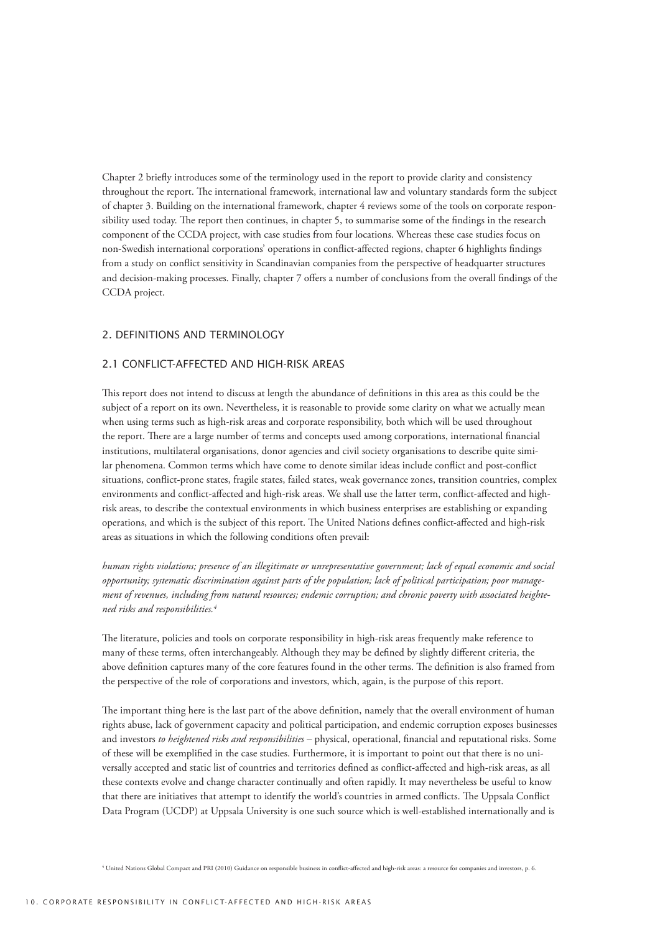Chapter 2 briefly introduces some of the terminology used in the report to provide clarity and consistency throughout the report. The international framework, international law and voluntary standards form the subject of chapter 3. Building on the international framework, chapter 4 reviews some of the tools on corporate responsibility used today. The report then continues, in chapter 5, to summarise some of the findings in the research component of the CCDA project, with case studies from four locations. Whereas these case studies focus on non-Swedish international corporations' operations in conflict-affected regions, chapter 6 highlights findings from a study on conflict sensitivity in Scandinavian companies from the perspective of headquarter structures and decision-making processes. Finally, chapter 7 offers a number of conclusions from the overall findings of the CCDA project.

## 2. Definitions and terminology

## 2.1 Conflict-affected and high-risk areas

This report does not intend to discuss at length the abundance of definitions in this area as this could be the subject of a report on its own. Nevertheless, it is reasonable to provide some clarity on what we actually mean when using terms such as high-risk areas and corporate responsibility, both which will be used throughout the report. There are a large number of terms and concepts used among corporations, international financial institutions, multilateral organisations, donor agencies and civil society organisations to describe quite similar phenomena. Common terms which have come to denote similar ideas include conflict and post-conflict situations, conflict-prone states, fragile states, failed states, weak governance zones, transition countries, complex environments and conflict-affected and high-risk areas. We shall use the latter term, conflict-affected and highrisk areas, to describe the contextual environments in which business enterprises are establishing or expanding operations, and which is the subject of this report. The United Nations defines conflict-affected and high-risk areas as situations in which the following conditions often prevail:

*human rights violations; presence of an illegitimate or unrepresentative government; lack of equal economic and social opportunity; systematic discrimination against parts of the population; lack of political participation; poor management of revenues, including from natural resources; endemic corruption; and chronic poverty with associated heightened risks and responsibilities.<sup>4</sup>*

The literature, policies and tools on corporate responsibility in high-risk areas frequently make reference to many of these terms, often interchangeably. Although they may be defined by slightly different criteria, the above definition captures many of the core features found in the other terms. The definition is also framed from the perspective of the role of corporations and investors, which, again, is the purpose of this report.

The important thing here is the last part of the above definition, namely that the overall environment of human rights abuse, lack of government capacity and political participation, and endemic corruption exposes businesses and investors *to heightened risks and responsibilities* – physical, operational, financial and reputational risks. Some of these will be exemplified in the case studies. Furthermore, it is important to point out that there is no universally accepted and static list of countries and territories defined as conflict-affected and high-risk areas, as all these contexts evolve and change character continually and often rapidly. It may nevertheless be useful to know that there are initiatives that attempt to identify the world's countries in armed conflicts. The Uppsala Conflict Data Program (UCDP) at Uppsala University is one such source which is well-established internationally and is

4 United Nations Global Compact and PRI (2010) Guidance on responsible business in conflict-affected and high-risk areas: a resource for companies and investors, p. 6.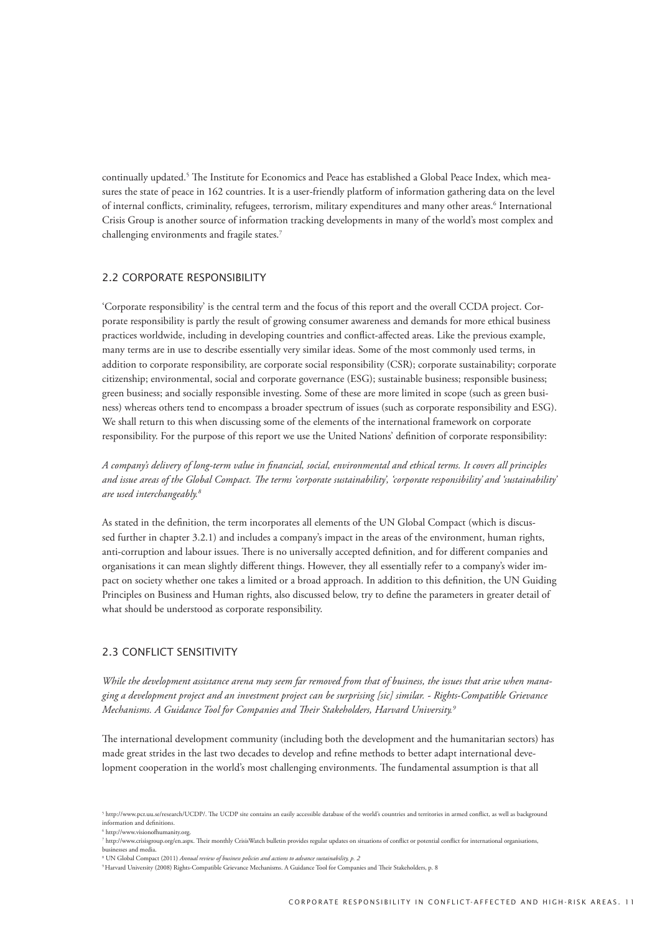continually updated.<sup>5</sup> The Institute for Economics and Peace has established a Global Peace Index, which measures the state of peace in 162 countries. It is a user-friendly platform of information gathering data on the level of internal conflicts, criminality, refugees, terrorism, military expenditures and many other areas.<sup>6</sup> International Crisis Group is another source of information tracking developments in many of the world's most complex and challenging environments and fragile states.7

## 2.2 Corporate responsibility

'Corporate responsibility' is the central term and the focus of this report and the overall CCDA project. Corporate responsibility is partly the result of growing consumer awareness and demands for more ethical business practices worldwide, including in developing countries and conflict-affected areas. Like the previous example, many terms are in use to describe essentially very similar ideas. Some of the most commonly used terms, in addition to corporate responsibility, are corporate social responsibility (CSR); corporate sustainability; corporate citizenship; environmental, social and corporate governance (ESG); sustainable business; responsible business; green business; and socially responsible investing. Some of these are more limited in scope (such as green business) whereas others tend to encompass a broader spectrum of issues (such as corporate responsibility and ESG). We shall return to this when discussing some of the elements of the international framework on corporate responsibility. For the purpose of this report we use the United Nations' definition of corporate responsibility:

*A company's delivery of long-term value in financial, social, environmental and ethical terms. It covers all principles and issue areas of the Global Compact. The terms 'corporate sustainability', 'corporate responsibility' and 'sustainability' are used interchangeably.<sup>8</sup>*

As stated in the definition, the term incorporates all elements of the UN Global Compact (which is discussed further in chapter 3.2.1) and includes a company's impact in the areas of the environment, human rights, anti-corruption and labour issues. There is no universally accepted definition, and for different companies and organisations it can mean slightly different things. However, they all essentially refer to a company's wider impact on society whether one takes a limited or a broad approach. In addition to this definition, the UN Guiding Principles on Business and Human rights, also discussed below, try to define the parameters in greater detail of what should be understood as corporate responsibility.

#### 2.3 CONFLICT SENSITIVITY

*While the development assistance arena may seem far removed from that of business, the issues that arise when managing a development project and an investment project can be surprising [sic] similar. - Rights-Compatible Grievance Mechanisms. A Guidance Tool for Companies and Their Stakeholders, Harvard University.<sup>9</sup>*

The international development community (including both the development and the humanitarian sectors) has made great strides in the last two decades to develop and refine methods to better adapt international development cooperation in the world's most challenging environments. The fundamental assumption is that all

<sup>5</sup> http://www.pcr.uu.se/research/UCDP/. The UCDP site contains an easily accessible database of the world's countries and territories in armed conflict, as well as background information and definitions.

<sup>6</sup> http://www.visionofhumanity.org.

<sup>7</sup> http://www.crisisgroup.org/en.aspx. Their monthly CrisisWatch bulletin provides regular updates on situations of conflict or potential conflict for international organisations, ں<br>esses and media

<sup>8</sup> UN Global Compact (2011) *Annual review of business policies and actions to advance sustainability, p. 2*

<sup>9</sup> Harvard University (2008) Rights-Compatible Grievance Mechanisms. A Guidance Tool for Companies and Their Stakeholders, p. 8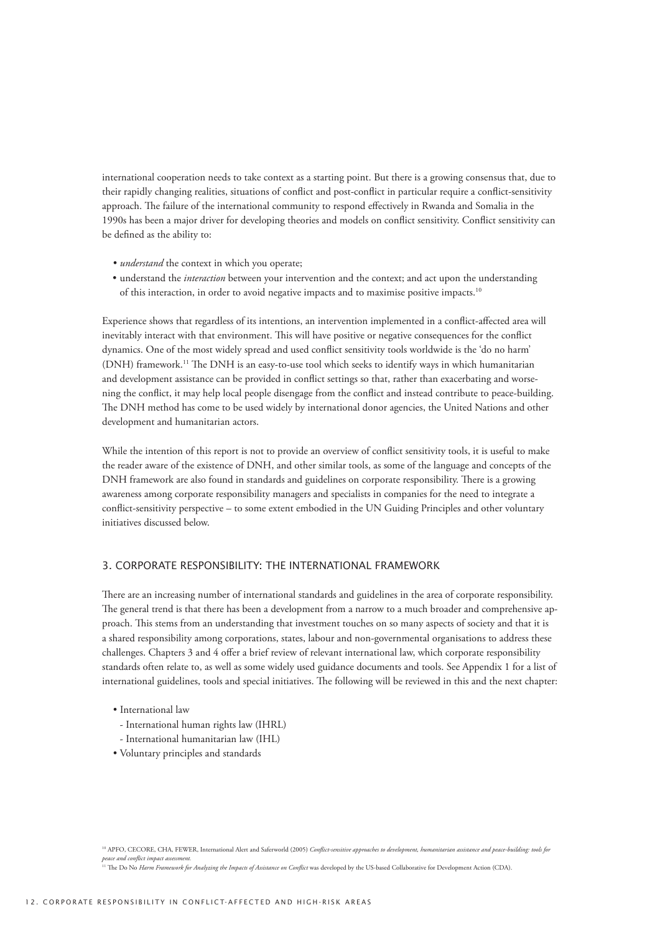international cooperation needs to take context as a starting point. But there is a growing consensus that, due to their rapidly changing realities, situations of conflict and post-conflict in particular require a conflict-sensitivity approach. The failure of the international community to respond effectively in Rwanda and Somalia in the 1990s has been a major driver for developing theories and models on conflict sensitivity. Conflict sensitivity can be defined as the ability to:

- *understand* the context in which you operate;
- • understand the *interaction* between your intervention and the context; and act upon the understanding of this interaction, in order to avoid negative impacts and to maximise positive impacts.<sup>10</sup>

Experience shows that regardless of its intentions, an intervention implemented in a conflict-affected area will inevitably interact with that environment. This will have positive or negative consequences for the conflict dynamics. One of the most widely spread and used conflict sensitivity tools worldwide is the 'do no harm' (DNH) framework.11 The DNH is an easy-to-use tool which seeks to identify ways in which humanitarian and development assistance can be provided in conflict settings so that, rather than exacerbating and worsening the conflict, it may help local people disengage from the conflict and instead contribute to peace-building. The DNH method has come to be used widely by international donor agencies, the United Nations and other development and humanitarian actors.

While the intention of this report is not to provide an overview of conflict sensitivity tools, it is useful to make the reader aware of the existence of DNH, and other similar tools, as some of the language and concepts of the DNH framework are also found in standards and guidelines on corporate responsibility. There is a growing awareness among corporate responsibility managers and specialists in companies for the need to integrate a conflict-sensitivity perspective – to some extent embodied in the UN Guiding Principles and other voluntary initiatives discussed below.

## 3. Corporate responsibility: the international framework

There are an increasing number of international standards and guidelines in the area of corporate responsibility. The general trend is that there has been a development from a narrow to a much broader and comprehensive approach. This stems from an understanding that investment touches on so many aspects of society and that it is a shared responsibility among corporations, states, labour and non-governmental organisations to address these challenges. Chapters 3 and 4 offer a brief review of relevant international law, which corporate responsibility standards often relate to, as well as some widely used guidance documents and tools. See Appendix 1 for a list of international guidelines, tools and special initiatives. The following will be reviewed in this and the next chapter:

- International law
	- International human rights law (IHRL)
- International humanitarian law (IHL)
- • Voluntary principles and standards

<sup>10</sup> APFO, CECORE, CHA, FEWER, International Alert and Saferworld (2005) *Conflict-sensitive approaches to development, humanitarian assistance and peace-building: tools for peace and conflict impact assessment.*

<sup>11</sup> The Do No Harm Framework for Analyzing the Impacts of Assistance on Conflict was developed by the US-based Collaborative for Development Action (CDA).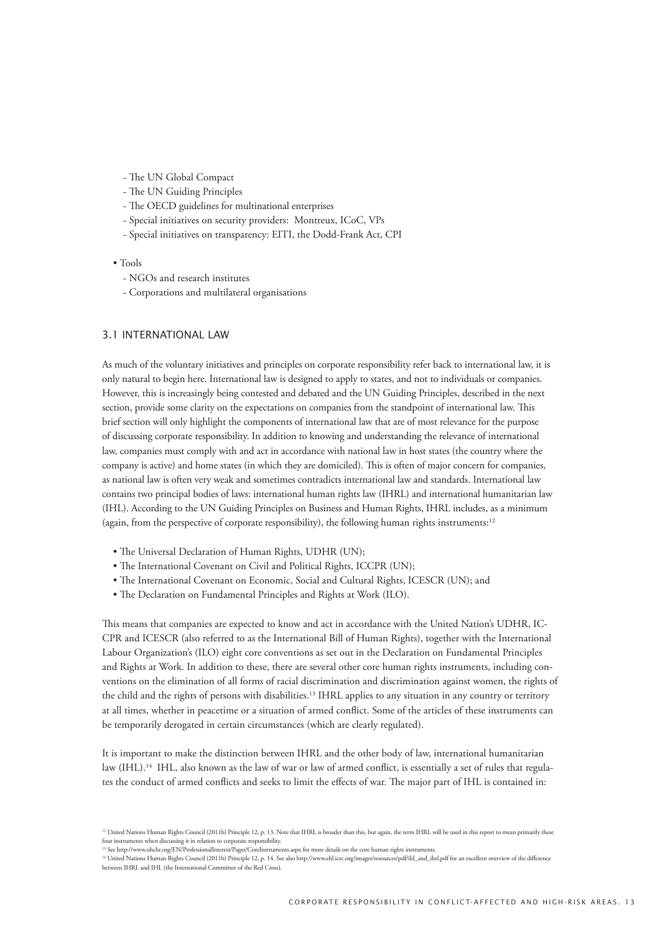- The UN Global Compact
- The UN Guiding Principles
- The OECD guidelines for multinational enterprises
- Special initiatives on security providers: Montreux, ICoC, VPs
- Special initiatives on transparency: EITI, the Dodd-Frank Act, CPI
- Tools
	- NGOs and research institutes
	- Corporations and multilateral organisations

#### 3.1 International law

As much of the voluntary initiatives and principles on corporate responsibility refer back to international law, it is only natural to begin here. International law is designed to apply to states, and not to individuals or companies. However, this is increasingly being contested and debated and the UN Guiding Principles, described in the next section, provide some clarity on the expectations on companies from the standpoint of international law. This brief section will only highlight the components of international law that are of most relevance for the purpose of discussing corporate responsibility. In addition to knowing and understanding the relevance of international law, companies must comply with and act in accordance with national law in host states (the country where the company is active) and home states (in which they are domiciled). This is often of major concern for companies, as national law is often very weak and sometimes contradicts international law and standards. International law contains two principal bodies of laws: international human rights law (IHRL) and international humanitarian law (IHL). According to the UN Guiding Principles on Business and Human Rights, IHRL includes, as a minimum (again, from the perspective of corporate responsibility), the following human rights instruments:12

- The Universal Declaration of Human Rights, UDHR (UN);
- The International Covenant on Civil and Political Rights, ICCPR (UN);
- The International Covenant on Economic, Social and Cultural Rights, ICESCR (UN); and
- The Declaration on Fundamental Principles and Rights at Work (ILO).

This means that companies are expected to know and act in accordance with the United Nation's UDHR, IC-CPR and ICESCR (also referred to as the International Bill of Human Rights), together with the International Labour Organization's (ILO) eight core conventions as set out in the Declaration on Fundamental Principles and Rights at Work. In addition to these, there are several other core human rights instruments, including conventions on the elimination of all forms of racial discrimination and discrimination against women, the rights of the child and the rights of persons with disabilities.13 IHRL applies to any situation in any country or territory at all times, whether in peacetime or a situation of armed conflict. Some of the articles of these instruments can be temporarily derogated in certain circumstances (which are clearly regulated).

It is important to make the distinction between IHRL and the other body of law, international humanitarian law (IHL).<sup>14</sup> IHL, also known as the law of war or law of armed conflict, is essentially a set of rules that regulates the conduct of armed conflicts and seeks to limit the effects of war. The major part of IHL is contained in:

<sup>&</sup>lt;sup>12</sup> United Nations Human Rights Council (2011b) Principle 12, p. 13. Note that IHRL is broader than this, but again, the term IHRL will be used in this report to mean primarily these four instruments when discussing it in relation to corporate responsibility.<br><sup>13</sup> See http://www.ohchr.org/EN/ProfessionalInterest/Pages/CoreInstruments.aspx for more details on the core human rights instruments.

<sup>14</sup> United Nations Human Rights Council (2011b) Principle 12, p. 14. See also http://www.ehl.icrc.org/images/resources/pdf/ihl\_and\_ihrl.pdf for an excellent overview of the difference between IHRL and IHL (the International Committee of the Red Cross).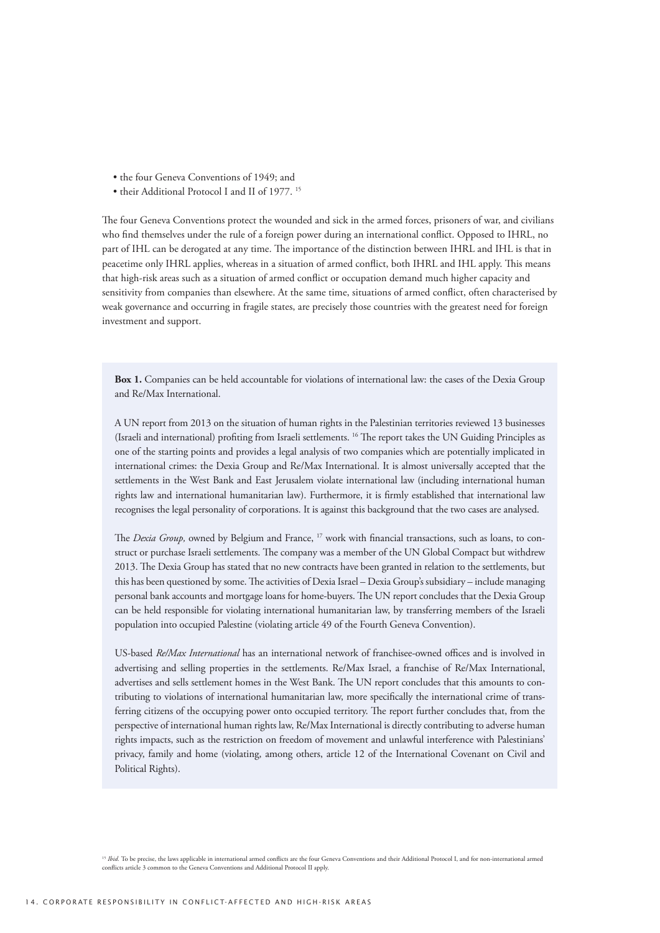- the four Geneva Conventions of 1949; and
- their Additional Protocol I and II of 1977.<sup>15</sup>

The four Geneva Conventions protect the wounded and sick in the armed forces, prisoners of war, and civilians who find themselves under the rule of a foreign power during an international conflict. Opposed to IHRL, no part of IHL can be derogated at any time. The importance of the distinction between IHRL and IHL is that in peacetime only IHRL applies, whereas in a situation of armed conflict, both IHRL and IHL apply. This means that high-risk areas such as a situation of armed conflict or occupation demand much higher capacity and sensitivity from companies than elsewhere. At the same time, situations of armed conflict, often characterised by weak governance and occurring in fragile states, are precisely those countries with the greatest need for foreign investment and support.

**Box 1.** Companies can be held accountable for violations of international law: the cases of the Dexia Group and Re/Max International.

A UN report from 2013 on the situation of human rights in the Palestinian territories reviewed 13 businesses (Israeli and international) profiting from Israeli settlements. 16 The report takes the UN Guiding Principles as one of the starting points and provides a legal analysis of two companies which are potentially implicated in international crimes: the Dexia Group and Re/Max International. It is almost universally accepted that the settlements in the West Bank and East Jerusalem violate international law (including international human rights law and international humanitarian law). Furthermore, it is firmly established that international law recognises the legal personality of corporations. It is against this background that the two cases are analysed.

The *Dexia Group*, owned by Belgium and France, <sup>17</sup> work with financial transactions, such as loans, to construct or purchase Israeli settlements. The company was a member of the UN Global Compact but withdrew 2013. The Dexia Group has stated that no new contracts have been granted in relation to the settlements, but this has been questioned by some. The activities of Dexia Israel – Dexia Group's subsidiary – include managing personal bank accounts and mortgage loans for home-buyers. The UN report concludes that the Dexia Group can be held responsible for violating international humanitarian law, by transferring members of the Israeli population into occupied Palestine (violating article 49 of the Fourth Geneva Convention).

US-based *Re/Max International* has an international network of franchisee-owned offices and is involved in advertising and selling properties in the settlements. Re/Max Israel, a franchise of Re/Max International, advertises and sells settlement homes in the West Bank. The UN report concludes that this amounts to contributing to violations of international humanitarian law, more specifically the international crime of transferring citizens of the occupying power onto occupied territory. The report further concludes that, from the perspective of international human rights law, Re/Max International is directly contributing to adverse human rights impacts, such as the restriction on freedom of movement and unlawful interference with Palestinians' privacy, family and home (violating, among others, article 12 of the International Covenant on Civil and Political Rights).

<sup>&</sup>lt;sup>15</sup> *Ibid.* To be precise, the laws applicable in international armed conflicts are the four Geneva Conventions and their Additional Protocol I, and for non-international armed conflicts article 3 common to the Geneva Conventions and Additional Protocol II apply.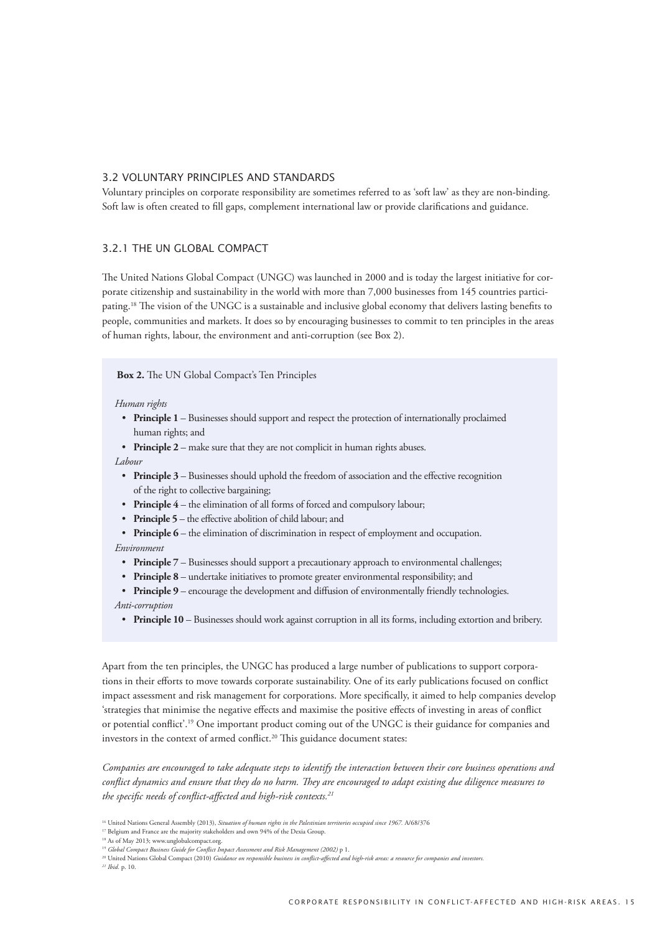#### 3.2 Voluntary principles and standards

Voluntary principles on corporate responsibility are sometimes referred to as 'soft law' as they are non-binding. Soft law is often created to fill gaps, complement international law or provide clarifications and guidance.

## 3.2.1 The UN Global Compact

The United Nations Global Compact (UNGC) was launched in 2000 and is today the largest initiative for corporate citizenship and sustainability in the world with more than 7,000 businesses from 145 countries participating.18 The vision of the UNGC is a sustainable and inclusive global economy that delivers lasting benefits to people, communities and markets. It does so by encouraging businesses to commit to ten principles in the areas of human rights, labour, the environment and anti-corruption (see Box 2).

#### **Box 2.** The UN Global Compact's Ten Principles

#### *Human rights*

• Principle 1 – Businesses should support and respect the protection of internationally proclaimed human rights; and

• **Principle 2** – make sure that they are not complicit in human rights abuses.

#### *Labour*

- Principle 3 Businesses should uphold the freedom of association and the effective recognition of the right to collective bargaining;
- **Principle 4** the elimination of all forms of forced and compulsory labour;
- **Principle 5** the effective abolition of child labour; and
- **Principle 6** the elimination of discrimination in respect of employment and occupation. *Environment*
	- **Principle**  $7$  Businesses should support a precautionary approach to environmental challenges;
	- **Principle 8** undertake initiatives to promote greater environmental responsibility; and
- **Principle 9** encourage the development and diffusion of environmentally friendly technologies. *Anti-corruption*
	- **Principle 10** Businesses should work against corruption in all its forms, including extortion and bribery.

Apart from the ten principles, the UNGC has produced a large number of publications to support corporations in their efforts to move towards corporate sustainability. One of its early publications focused on conflict impact assessment and risk management for corporations. More specifically, it aimed to help companies develop 'strategies that minimise the negative effects and maximise the positive effects of investing in areas of conflict or potential conflict'.19 One important product coming out of the UNGC is their guidance for companies and investors in the context of armed conflict.<sup>20</sup> This guidance document states:

*Companies are encouraged to take adequate steps to identify the interaction between their core business operations and conflict dynamics and ensure that they do no harm. They are encouraged to adapt existing due diligence measures to the specific needs of conflict-affected and high-risk contexts.21*

*21 Ibid.* p. 10.

<sup>&</sup>lt;sup>16</sup> United Nations General Assembly (2013), *Situation of human rights in the Palestinian territories occupied since 1967*. A/68/376

<sup>17</sup> Belgium and France are the majority stakeholders and own 94% of the Dexia Group.

<sup>18</sup> As of May 2013; www.unglobalcompact.org.

<sup>19</sup> *Global Compact Business Guide for Conflict Impact Assessment and Risk Management (2002)* p 1.

<sup>20</sup> United Nations Global Compact (2010) *Guidance on responsible business in conflict-affected and high-risk areas: a resource for companies and investors.*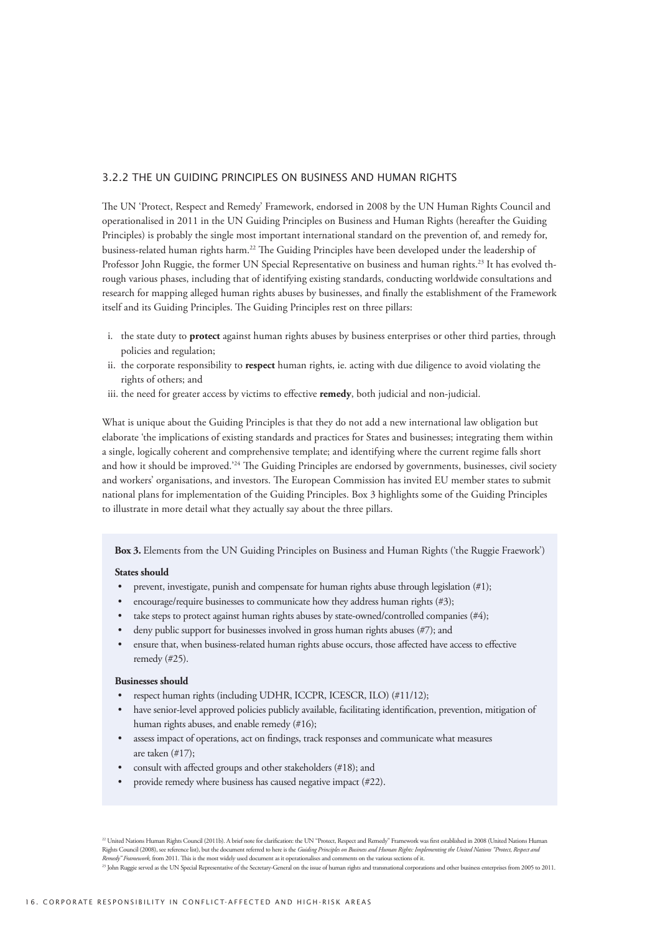#### 3.2.2 The UN Guiding Principles on Business and Human Rights

The UN 'Protect, Respect and Remedy' Framework, endorsed in 2008 by the UN Human Rights Council and operationalised in 2011 in the UN Guiding Principles on Business and Human Rights (hereafter the Guiding Principles) is probably the single most important international standard on the prevention of, and remedy for, business-related human rights harm.22 The Guiding Principles have been developed under the leadership of Professor John Ruggie, the former UN Special Representative on business and human rights.23 It has evolved through various phases, including that of identifying existing standards, conducting worldwide consultations and research for mapping alleged human rights abuses by businesses, and finally the establishment of the Framework itself and its Guiding Principles. The Guiding Principles rest on three pillars:

- i. the state duty to **protect** against human rights abuses by business enterprises or other third parties, through policies and regulation;
- ii. the corporate responsibility to **respect** human rights, ie. acting with due diligence to avoid violating the rights of others; and
- iii. the need for greater access by victims to effective **remedy**, both judicial and non-judicial.

What is unique about the Guiding Principles is that they do not add a new international law obligation but elaborate 'the implications of existing standards and practices for States and businesses; integrating them within a single, logically coherent and comprehensive template; and identifying where the current regime falls short and how it should be improved.<sup>'24</sup> The Guiding Principles are endorsed by governments, businesses, civil society and workers' organisations, and investors. The European Commission has invited EU member states to submit national plans for implementation of the Guiding Principles. Box 3 highlights some of the Guiding Principles to illustrate in more detail what they actually say about the three pillars.

**Box 3.** Elements from the UN Guiding Principles on Business and Human Rights ('the Ruggie Fraework')

#### **States should**

- prevent, investigate, punish and compensate for human rights abuse through legislation  $(\#1)$ ;
- encourage/require businesses to communicate how they address human rights (#3);
- take steps to protect against human rights abuses by state-owned/controlled companies  $(\#4)$ ;
- deny public support for businesses involved in gross human rights abuses  $(\#7)$ ; and
- ensure that, when business-related human rights abuse occurs, those affected have access to effective remedy (#25).

#### **Businesses should**

- respect human rights (including UDHR, ICCPR, ICESCR, ILO) (#11/12);
- have senior-level approved policies publicly available, facilitating identification, prevention, mitigation of human rights abuses, and enable remedy (#16);
- assess impact of operations, act on findings, track responses and communicate what measures are taken (#17);
- consult with affected groups and other stakeholders (#18); and
- provide remedy where business has caused negative impact (#22).

<sup>&</sup>lt;sup>22</sup> United Nations Human Rights Council (2011b). A brief note for clarification: the UN "Protect, Respect and Remedy" Framework was first established in 2008 (United Nations Human<br>Rights Council (2008), see reference list *Redy" Framework, from 2011. This is the most widely used document as it operationalises and comments on the various sections of the various sections of the various sections of the various sections of the various sections* 

<sup>23</sup> John Ruggie served as the UN Special Representative of the Secretary-General on the issue of human rights and transnational corporations and other business enterprises from 2005 to 2011.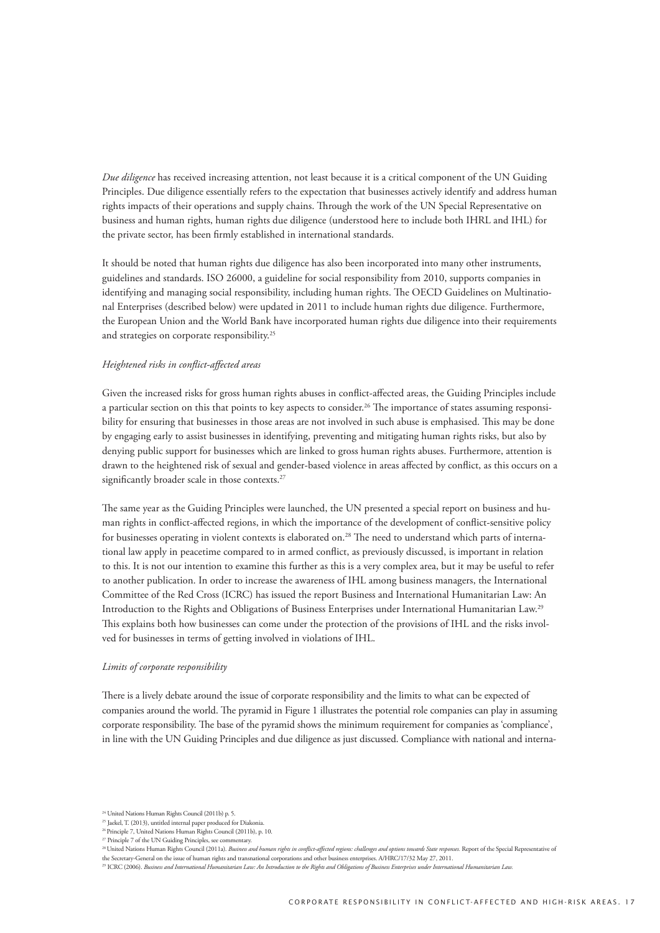*Due diligence* has received increasing attention, not least because it is a critical component of the UN Guiding Principles. Due diligence essentially refers to the expectation that businesses actively identify and address human rights impacts of their operations and supply chains. Through the work of the UN Special Representative on business and human rights, human rights due diligence (understood here to include both IHRL and IHL) for the private sector, has been firmly established in international standards.

It should be noted that human rights due diligence has also been incorporated into many other instruments, guidelines and standards. ISO 26000, a guideline for social responsibility from 2010, supports companies in identifying and managing social responsibility, including human rights. The OECD Guidelines on Multinational Enterprises (described below) were updated in 2011 to include human rights due diligence. Furthermore, the European Union and the World Bank have incorporated human rights due diligence into their requirements and strategies on corporate responsibility.25

#### *Heightened risks in conflict-affected areas*

Given the increased risks for gross human rights abuses in conflict-affected areas, the Guiding Principles include a particular section on this that points to key aspects to consider.<sup>26</sup> The importance of states assuming responsibility for ensuring that businesses in those areas are not involved in such abuse is emphasised. This may be done by engaging early to assist businesses in identifying, preventing and mitigating human rights risks, but also by denying public support for businesses which are linked to gross human rights abuses. Furthermore, attention is drawn to the heightened risk of sexual and gender-based violence in areas affected by conflict, as this occurs on a significantly broader scale in those contexts.<sup>27</sup>

The same year as the Guiding Principles were launched, the UN presented a special report on business and human rights in conflict-affected regions, in which the importance of the development of conflict-sensitive policy for businesses operating in violent contexts is elaborated on.28 The need to understand which parts of international law apply in peacetime compared to in armed conflict, as previously discussed, is important in relation to this. It is not our intention to examine this further as this is a very complex area, but it may be useful to refer to another publication. In order to increase the awareness of IHL among business managers, the International Committee of the Red Cross (ICRC) has issued the report Business and International Humanitarian Law: An Introduction to the Rights and Obligations of Business Enterprises under International Humanitarian Law.29 This explains both how businesses can come under the protection of the provisions of IHL and the risks involved for businesses in terms of getting involved in violations of IHL.

#### *Limits of corporate responsibility*

There is a lively debate around the issue of corporate responsibility and the limits to what can be expected of companies around the world. The pyramid in Figure 1 illustrates the potential role companies can play in assuming corporate responsibility. The base of the pyramid shows the minimum requirement for companies as 'compliance', in line with the UN Guiding Principles and due diligence as just discussed. Compliance with national and interna-

<sup>24</sup> United Nations Human Rights Council (2011b) p. 5.

<sup>&</sup>lt;sup>25</sup> Jaekel, T. (2013), untitled internal paper produced for Diakonia

<sup>26</sup> Principle 7, United Nations Human Rights Council (2011b), p. 10. <sup>27</sup> Principle 7 of the UN Guiding Principles, see commentary.

<sup>&</sup>lt;sup>28</sup> United Nations Human Rights Council (2011a). *Business and human rights in conflict-affected regions: challenges and options towards State responses. Report of the Special Representative of* 

the Secretary-General on the issue of human rights and transnational corporations and other business enterprises. A/HRC/17/32 May 27, 2011.<br><sup>29</sup> ICRC (2006). *Busines and International Humanitarian Law: An Introduction to*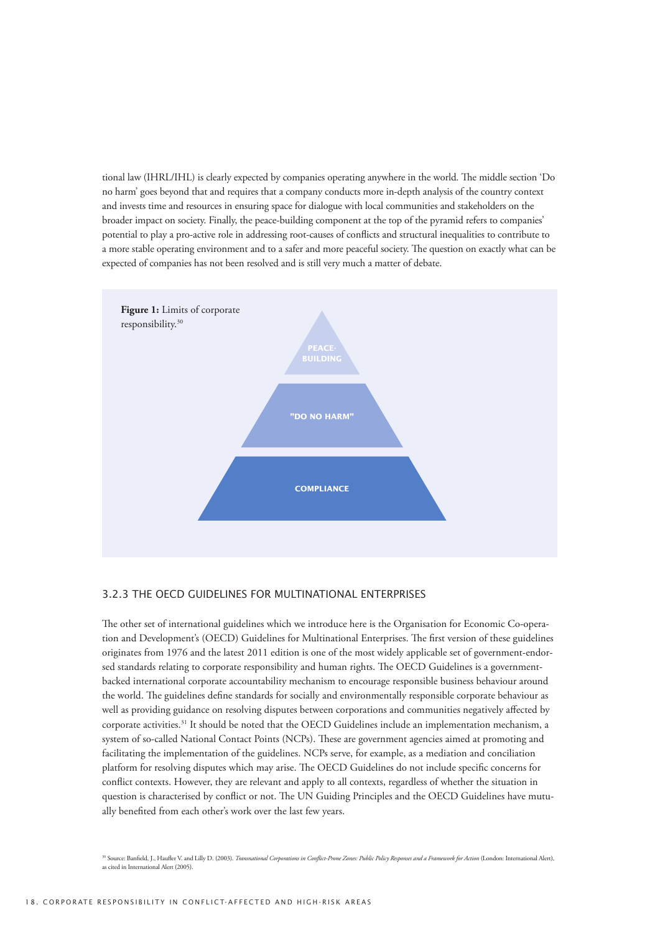tional law (IHRL/IHL) is clearly expected by companies operating anywhere in the world. The middle section 'Do no harm' goes beyond that and requires that a company conducts more in-depth analysis of the country context and invests time and resources in ensuring space for dialogue with local communities and stakeholders on the broader impact on society. Finally, the peace-building component at the top of the pyramid refers to companies' potential to play a pro-active role in addressing root-causes of conflicts and structural inequalities to contribute to a more stable operating environment and to a safer and more peaceful society. The question on exactly what can be expected of companies has not been resolved and is still very much a matter of debate.



#### 3.2.3 The OECD Guidelines for Multinational Enterprises

The other set of international guidelines which we introduce here is the Organisation for Economic Co-operation and Development's (OECD) Guidelines for Multinational Enterprises. The first version of these guidelines originates from 1976 and the latest 2011 edition is one of the most widely applicable set of government-endorsed standards relating to corporate responsibility and human rights. The OECD Guidelines is a governmentbacked international corporate accountability mechanism to encourage responsible business behaviour around the world. The guidelines define standards for socially and environmentally responsible corporate behaviour as well as providing guidance on resolving disputes between corporations and communities negatively affected by corporate activities.31 It should be noted that the OECD Guidelines include an implementation mechanism, a system of so-called National Contact Points (NCPs). These are government agencies aimed at promoting and facilitating the implementation of the guidelines. NCPs serve, for example, as a mediation and conciliation platform for resolving disputes which may arise. The OECD Guidelines do not include specific concerns for conflict contexts. However, they are relevant and apply to all contexts, regardless of whether the situation in question is characterised by conflict or not. The UN Guiding Principles and the OECD Guidelines have mutually benefited from each other's work over the last few years.

30 Source: Banfield, J., Haufler V. and Lilly D. (2003). *Transnational Corporations in Conflict-Prone Zones: Public Policy Responses and a Framework for Action* (London: International Alert), as cited in International Alert (2005).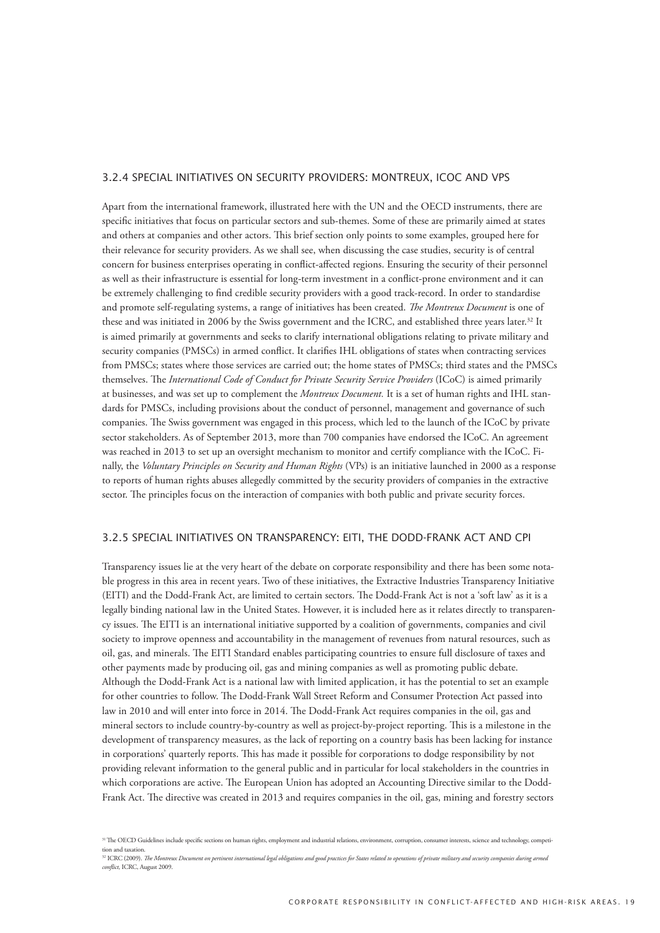#### 3.2.4 Special initiatives on security providers: Montreux, ICoC and VPs

Apart from the international framework, illustrated here with the UN and the OECD instruments, there are specific initiatives that focus on particular sectors and sub-themes. Some of these are primarily aimed at states and others at companies and other actors. This brief section only points to some examples, grouped here for their relevance for security providers. As we shall see, when discussing the case studies, security is of central concern for business enterprises operating in conflict-affected regions. Ensuring the security of their personnel as well as their infrastructure is essential for long-term investment in a conflict-prone environment and it can be extremely challenging to find credible security providers with a good track-record. In order to standardise and promote self-regulating systems, a range of initiatives has been created. *The Montreux Document* is one of these and was initiated in 2006 by the Swiss government and the ICRC, and established three years later.<sup>32</sup> It is aimed primarily at governments and seeks to clarify international obligations relating to private military and security companies (PMSCs) in armed conflict. It clarifies IHL obligations of states when contracting services from PMSCs; states where those services are carried out; the home states of PMSCs; third states and the PMSCs themselves. The *International Code of Conduct for Private Security Service Providers* (ICoC) is aimed primarily at businesses, and was set up to complement the *Montreux Document.* It is a set of human rights and IHL standards for PMSCs, including provisions about the conduct of personnel, management and governance of such companies. The Swiss government was engaged in this process, which led to the launch of the ICoC by private sector stakeholders. As of September 2013, more than 700 companies have endorsed the ICoC. An agreement was reached in 2013 to set up an oversight mechanism to monitor and certify compliance with the ICoC. Finally, the *Voluntary Principles on Security and Human Rights* (VPs) is an initiative launched in 2000 as a response to reports of human rights abuses allegedly committed by the security providers of companies in the extractive sector. The principles focus on the interaction of companies with both public and private security forces.

#### 3.2.5 Special initiatives on transparency: EITI, the Dodd-Frank Act and CPI

Transparency issues lie at the very heart of the debate on corporate responsibility and there has been some notable progress in this area in recent years. Two of these initiatives, the Extractive Industries Transparency Initiative (EITI) and the Dodd-Frank Act, are limited to certain sectors. The Dodd-Frank Act is not a 'soft law' as it is a legally binding national law in the United States. However, it is included here as it relates directly to transparency issues. The EITI is an international initiative supported by a coalition of governments, companies and civil society to improve openness and accountability in the management of revenues from natural resources, such as oil, gas, and minerals. The EITI Standard enables participating countries to ensure full disclosure of taxes and other payments made by producing oil, gas and mining companies as well as promoting public debate. Although the Dodd-Frank Act is a national law with limited application, it has the potential to set an example for other countries to follow. The Dodd-Frank Wall Street Reform and Consumer Protection Act passed into law in 2010 and will enter into force in 2014. The Dodd-Frank Act requires companies in the oil, gas and mineral sectors to include country-by-country as well as project-by-project reporting. This is a milestone in the development of transparency measures, as the lack of reporting on a country basis has been lacking for instance in corporations' quarterly reports. This has made it possible for corporations to dodge responsibility by not providing relevant information to the general public and in particular for local stakeholders in the countries in which corporations are active. The European Union has adopted an Accounting Directive similar to the Dodd-Frank Act. The directive was created in 2013 and requires companies in the oil, gas, mining and forestry sectors

<sup>&</sup>lt;sup>31</sup> The OECD Guidelines include specific sections on human rights, employment and industrial relations, environment, corruption, consumer interests, science and technology, competition and taxation.

<sup>&</sup>lt;sup>32</sup> ICRC (2009). *The Montreux Document on pertinent international legal obligations and good practices for States related to operations of private military and security companies during armed conflict,* ICRC, August 2009.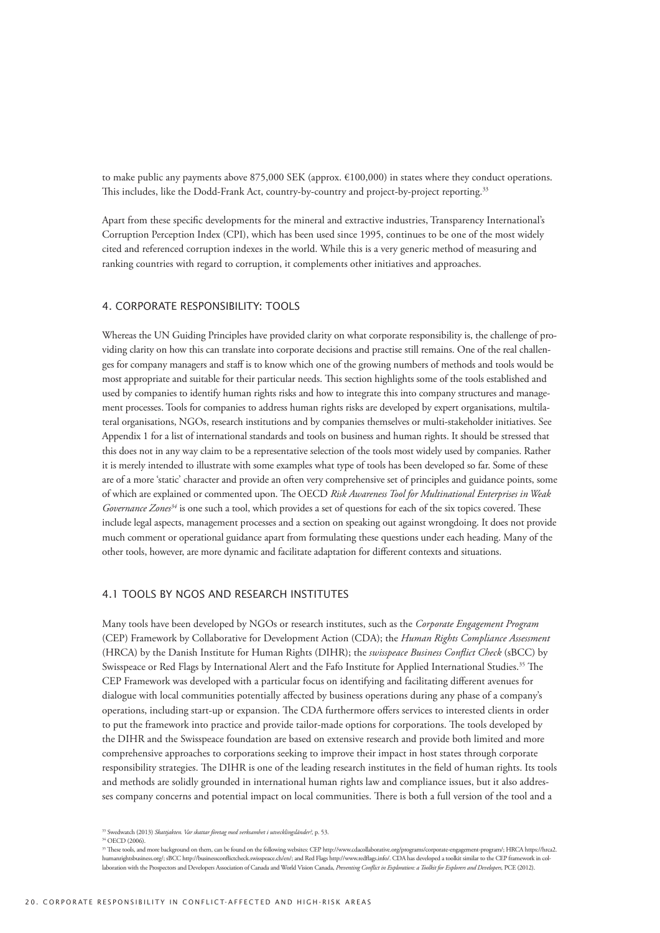to make public any payments above 875,000 SEK (approx.  $\epsilon$ 100,000) in states where they conduct operations. This includes, like the Dodd-Frank Act, country-by-country and project-by-project reporting.<sup>33</sup>

Apart from these specific developments for the mineral and extractive industries, Transparency International's Corruption Perception Index (CPI), which has been used since 1995, continues to be one of the most widely cited and referenced corruption indexes in the world. While this is a very generic method of measuring and ranking countries with regard to corruption, it complements other initiatives and approaches.

#### 4. Corporate responsibility: tools

Whereas the UN Guiding Principles have provided clarity on what corporate responsibility is, the challenge of providing clarity on how this can translate into corporate decisions and practise still remains. One of the real challenges for company managers and staff is to know which one of the growing numbers of methods and tools would be most appropriate and suitable for their particular needs. This section highlights some of the tools established and used by companies to identify human rights risks and how to integrate this into company structures and management processes. Tools for companies to address human rights risks are developed by expert organisations, multilateral organisations, NGOs, research institutions and by companies themselves or multi-stakeholder initiatives. See Appendix 1 for a list of international standards and tools on business and human rights. It should be stressed that this does not in any way claim to be a representative selection of the tools most widely used by companies. Rather it is merely intended to illustrate with some examples what type of tools has been developed so far. Some of these are of a more 'static' character and provide an often very comprehensive set of principles and guidance points, some of which are explained or commented upon. The OECD *Risk Awareness Tool for Multinational Enterprises in Weak Governance Zones<sup>34</sup>* is one such a tool, which provides a set of questions for each of the six topics covered. These include legal aspects, management processes and a section on speaking out against wrongdoing. It does not provide much comment or operational guidance apart from formulating these questions under each heading. Many of the other tools, however, are more dynamic and facilitate adaptation for different contexts and situations.

## 4.1 Tools by NGOs and research institutes

Many tools have been developed by NGOs or research institutes, such as the *Corporate Engagement Program*  (CEP) Framework by Collaborative for Development Action (CDA); the *Human Rights Compliance Assessment*  (HRCA) by the Danish Institute for Human Rights (DIHR); the *swisspeace Business Conflict Check* (sBCC) by Swisspeace or Red Flags by International Alert and the Fafo Institute for Applied International Studies.35 The CEP Framework was developed with a particular focus on identifying and facilitating different avenues for dialogue with local communities potentially affected by business operations during any phase of a company's operations, including start-up or expansion. The CDA furthermore offers services to interested clients in order to put the framework into practice and provide tailor-made options for corporations. The tools developed by the DIHR and the Swisspeace foundation are based on extensive research and provide both limited and more comprehensive approaches to corporations seeking to improve their impact in host states through corporate responsibility strategies. The DIHR is one of the leading research institutes in the field of human rights. Its tools and methods are solidly grounded in international human rights law and compliance issues, but it also addresses company concerns and potential impact on local communities. There is both a full version of the tool and a

<sup>33</sup> Swedwatch (2013) *Skattjakten. Var skattar företag med verksamhet i utvecklingsländer?,* p. 53.

<sup>34</sup> OECD (2006).

<sup>35</sup> These tools, and more background on them, can be found on the following websites: CEP http://www.cdacollaborative.org/programs/corporate-engagement-program/; HRCA https://hrca2. humanrightsbusiness.org/; sBCC http://businessconflictcheck.swisspeace.ch/en/; and Red Flags http://www.redflags.info/. CDA has developed a toolkit similar to the CEP framework in collaboration with the Prospectors and Developers Association of Canada and World Vision Canada, *Preventing Conflict in Exploration: a Toolkit for Explorers and Developers,* PCE (2012).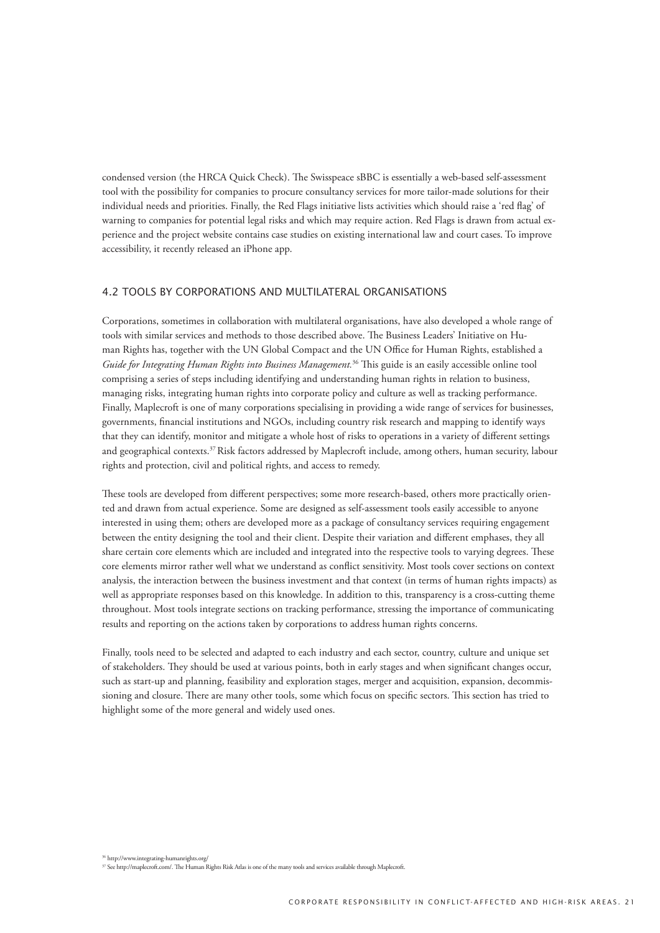condensed version (the HRCA Quick Check). The Swisspeace sBBC is essentially a web-based self-assessment tool with the possibility for companies to procure consultancy services for more tailor-made solutions for their individual needs and priorities. Finally, the Red Flags initiative lists activities which should raise a 'red flag' of warning to companies for potential legal risks and which may require action. Red Flags is drawn from actual experience and the project website contains case studies on existing international law and court cases. To improve accessibility, it recently released an iPhone app.

#### 4.2 Tools by corporations and multilateral organisations

Corporations, sometimes in collaboration with multilateral organisations, have also developed a whole range of tools with similar services and methods to those described above. The Business Leaders' Initiative on Human Rights has, together with the UN Global Compact and the UN Office for Human Rights, established a *Guide for Integrating Human Rights into Business Management.*36 This guide is an easily accessible online tool comprising a series of steps including identifying and understanding human rights in relation to business, managing risks, integrating human rights into corporate policy and culture as well as tracking performance. Finally, Maplecroft is one of many corporations specialising in providing a wide range of services for businesses, governments, financial institutions and NGOs, including country risk research and mapping to identify ways that they can identify, monitor and mitigate a whole host of risks to operations in a variety of different settings and geographical contexts.37 Risk factors addressed by Maplecroft include, among others, human security, labour rights and protection, civil and political rights, and access to remedy.

These tools are developed from different perspectives; some more research-based, others more practically oriented and drawn from actual experience. Some are designed as self-assessment tools easily accessible to anyone interested in using them; others are developed more as a package of consultancy services requiring engagement between the entity designing the tool and their client. Despite their variation and different emphases, they all share certain core elements which are included and integrated into the respective tools to varying degrees. These core elements mirror rather well what we understand as conflict sensitivity. Most tools cover sections on context analysis, the interaction between the business investment and that context (in terms of human rights impacts) as well as appropriate responses based on this knowledge. In addition to this, transparency is a cross-cutting theme throughout. Most tools integrate sections on tracking performance, stressing the importance of communicating results and reporting on the actions taken by corporations to address human rights concerns.

Finally, tools need to be selected and adapted to each industry and each sector, country, culture and unique set of stakeholders. They should be used at various points, both in early stages and when significant changes occur, such as start-up and planning, feasibility and exploration stages, merger and acquisition, expansion, decommissioning and closure. There are many other tools, some which focus on specific sectors. This section has tried to highlight some of the more general and widely used ones.

36 http://www.integrating-humanrights.org/

<sup>37</sup> See http://maplecroft.com/. The Human Rights Risk Atlas is one of the many tools and services available through Maplecroft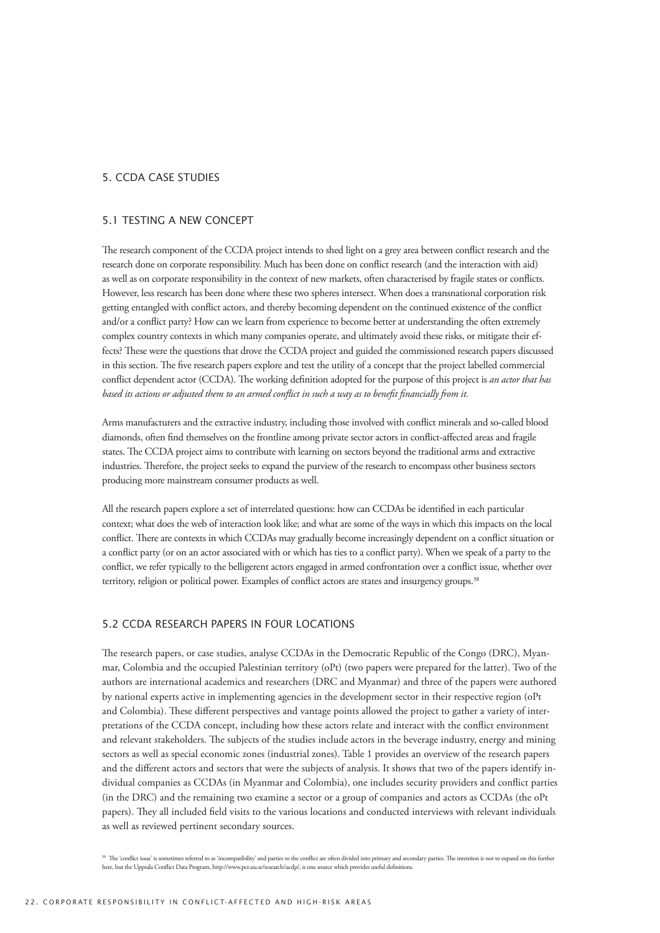## 5. CCDA case studies

#### 5.1 Testing a new concept

The research component of the CCDA project intends to shed light on a grey area between conflict research and the research done on corporate responsibility. Much has been done on conflict research (and the interaction with aid) as well as on corporate responsibility in the context of new markets, often characterised by fragile states or conflicts. However, less research has been done where these two spheres intersect. When does a transnational corporation risk getting entangled with conflict actors, and thereby becoming dependent on the continued existence of the conflict and/or a conflict party? How can we learn from experience to become better at understanding the often extremely complex country contexts in which many companies operate, and ultimately avoid these risks, or mitigate their effects? These were the questions that drove the CCDA project and guided the commissioned research papers discussed in this section. The five research papers explore and test the utility of a concept that the project labelled commercial conflict dependent actor (CCDA). The working definition adopted for the purpose of this project is *an actor that has based its actions or adjusted them to an armed conflict in such a way as to benefit financially from it.* 

Arms manufacturers and the extractive industry, including those involved with conflict minerals and so-called blood diamonds, often find themselves on the frontline among private sector actors in conflict-affected areas and fragile states. The CCDA project aims to contribute with learning on sectors beyond the traditional arms and extractive industries. Therefore, the project seeks to expand the purview of the research to encompass other business sectors producing more mainstream consumer products as well.

All the research papers explore a set of interrelated questions: how can CCDAs be identified in each particular context; what does the web of interaction look like; and what are some of the ways in which this impacts on the local conflict. There are contexts in which CCDAs may gradually become increasingly dependent on a conflict situation or a conflict party (or on an actor associated with or which has ties to a conflict party). When we speak of a party to the conflict, we refer typically to the belligerent actors engaged in armed confrontation over a conflict issue, whether over territory, religion or political power. Examples of conflict actors are states and insurgency groups.38

# 5.2 CCDA research papers in four locations

The research papers, or case studies, analyse CCDAs in the Democratic Republic of the Congo (DRC), Myanmar, Colombia and the occupied Palestinian territory (oPt) (two papers were prepared for the latter). Two of the authors are international academics and researchers (DRC and Myanmar) and three of the papers were authored by national experts active in implementing agencies in the development sector in their respective region (oPt and Colombia). These different perspectives and vantage points allowed the project to gather a variety of interpretations of the CCDA concept, including how these actors relate and interact with the conflict environment and relevant stakeholders. The subjects of the studies include actors in the beverage industry, energy and mining sectors as well as special economic zones (industrial zones). Table 1 provides an overview of the research papers and the different actors and sectors that were the subjects of analysis. It shows that two of the papers identify individual companies as CCDAs (in Myanmar and Colombia), one includes security providers and conflict parties (in the DRC) and the remaining two examine a sector or a group of companies and actors as CCDAs (the oPt papers). They all included field visits to the various locations and conducted interviews with relevant individuals as well as reviewed pertinent secondary sources.

<sup>&</sup>lt;sup>38</sup> The 'conflict issue' is sometimes referred to as 'incompatibility' and parties to the conflict are often divided into primary and secondary parties. The intention is not to expand on this further here, but the Uppsala Conflict Data Program, http://www.pcr.uu.se/research/ucdp/, is one source which provides useful definitions.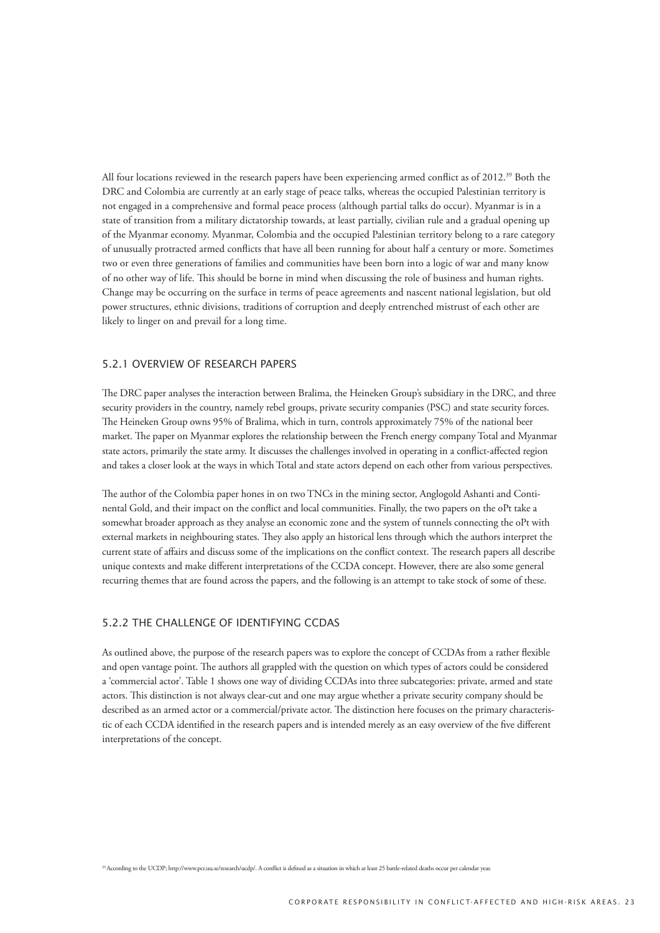All four locations reviewed in the research papers have been experiencing armed conflict as of 2012.39 Both the DRC and Colombia are currently at an early stage of peace talks, whereas the occupied Palestinian territory is not engaged in a comprehensive and formal peace process (although partial talks do occur). Myanmar is in a state of transition from a military dictatorship towards, at least partially, civilian rule and a gradual opening up of the Myanmar economy. Myanmar, Colombia and the occupied Palestinian territory belong to a rare category of unusually protracted armed conflicts that have all been running for about half a century or more. Sometimes two or even three generations of families and communities have been born into a logic of war and many know of no other way of life. This should be borne in mind when discussing the role of business and human rights. Change may be occurring on the surface in terms of peace agreements and nascent national legislation, but old power structures, ethnic divisions, traditions of corruption and deeply entrenched mistrust of each other are likely to linger on and prevail for a long time.

## 5.2.1 Overview of research papers

The DRC paper analyses the interaction between Bralima, the Heineken Group's subsidiary in the DRC, and three security providers in the country, namely rebel groups, private security companies (PSC) and state security forces. The Heineken Group owns 95% of Bralima, which in turn, controls approximately 75% of the national beer market. The paper on Myanmar explores the relationship between the French energy company Total and Myanmar state actors, primarily the state army. It discusses the challenges involved in operating in a conflict-affected region and takes a closer look at the ways in which Total and state actors depend on each other from various perspectives.

The author of the Colombia paper hones in on two TNCs in the mining sector, Anglogold Ashanti and Continental Gold, and their impact on the conflict and local communities. Finally, the two papers on the oPt take a somewhat broader approach as they analyse an economic zone and the system of tunnels connecting the oPt with external markets in neighbouring states. They also apply an historical lens through which the authors interpret the current state of affairs and discuss some of the implications on the conflict context. The research papers all describe unique contexts and make different interpretations of the CCDA concept. However, there are also some general recurring themes that are found across the papers, and the following is an attempt to take stock of some of these.

# 5.2.2 The challenge of identifying CCDAs

As outlined above, the purpose of the research papers was to explore the concept of CCDAs from a rather flexible and open vantage point. The authors all grappled with the question on which types of actors could be considered a 'commercial actor'. Table 1 shows one way of dividing CCDAs into three subcategories: private, armed and state actors. This distinction is not always clear-cut and one may argue whether a private security company should be described as an armed actor or a commercial/private actor. The distinction here focuses on the primary characteristic of each CCDA identified in the research papers and is intended merely as an easy overview of the five different interpretations of the concept.

39 According to the UCDP; http://www.pcr.uu.se/research/ucdp/. A conflict is defined as a situation in which at least 25 battle-related deaths occur per calendar year.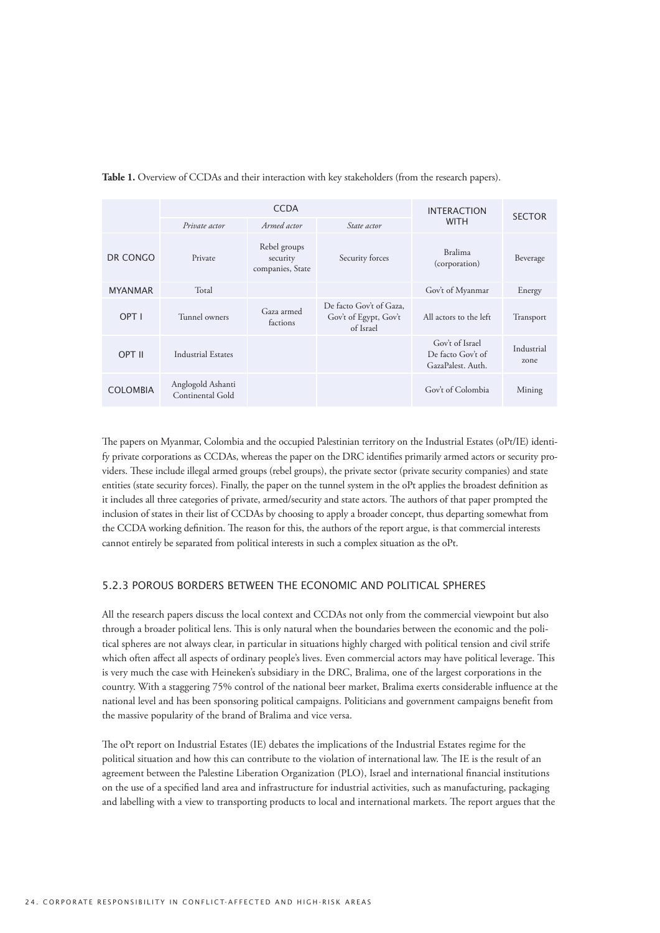|                 | <b>CCDA</b>                           |                                              |                                                               | <b>INTERACTION</b><br><b>WITH</b>                         | <b>SECTOR</b>      |
|-----------------|---------------------------------------|----------------------------------------------|---------------------------------------------------------------|-----------------------------------------------------------|--------------------|
|                 | Private actor                         | Armed actor                                  | State actor                                                   |                                                           |                    |
| DR CONGO        | Private                               | Rebel groups<br>security<br>companies, State | Security forces                                               | <b>Bralima</b><br>(corporation)                           | Beverage           |
| <b>MYANMAR</b>  | Total                                 |                                              |                                                               | Gov't of Myanmar                                          | Energy             |
| OPT I           | Tunnel owners                         | Gaza armed<br>factions                       | De facto Gov't of Gaza,<br>Gov't of Egypt, Gov't<br>of Israel | All actors to the left                                    | Transport          |
| OPT II          | Industrial Estates                    |                                              |                                                               | Gov't of Israel<br>De facto Gov't of<br>GazaPalest. Auth. | Industrial<br>zone |
| <b>COLOMBIA</b> | Anglogold Ashanti<br>Continental Gold |                                              |                                                               | Gov't of Colombia                                         | Mining             |

**Table 1.** Overview of CCDAs and their interaction with key stakeholders (from the research papers).

The papers on Myanmar, Colombia and the occupied Palestinian territory on the Industrial Estates (oPt/IE) identify private corporations as CCDAs, whereas the paper on the DRC identifies primarily armed actors or security providers. These include illegal armed groups (rebel groups), the private sector (private security companies) and state entities (state security forces). Finally, the paper on the tunnel system in the oPt applies the broadest definition as it includes all three categories of private, armed/security and state actors. The authors of that paper prompted the inclusion of states in their list of CCDAs by choosing to apply a broader concept, thus departing somewhat from the CCDA working definition. The reason for this, the authors of the report argue, is that commercial interests cannot entirely be separated from political interests in such a complex situation as the oPt.

## 5.2.3 Porous borders between the economic and political spheres

All the research papers discuss the local context and CCDAs not only from the commercial viewpoint but also through a broader political lens. This is only natural when the boundaries between the economic and the political spheres are not always clear, in particular in situations highly charged with political tension and civil strife which often affect all aspects of ordinary people's lives. Even commercial actors may have political leverage. This is very much the case with Heineken's subsidiary in the DRC, Bralima, one of the largest corporations in the country. With a staggering 75% control of the national beer market, Bralima exerts considerable influence at the national level and has been sponsoring political campaigns. Politicians and government campaigns benefit from the massive popularity of the brand of Bralima and vice versa.

The oPt report on Industrial Estates (IE) debates the implications of the Industrial Estates regime for the political situation and how this can contribute to the violation of international law. The IE is the result of an agreement between the Palestine Liberation Organization (PLO), Israel and international financial institutions on the use of a specified land area and infrastructure for industrial activities, such as manufacturing, packaging and labelling with a view to transporting products to local and international markets. The report argues that the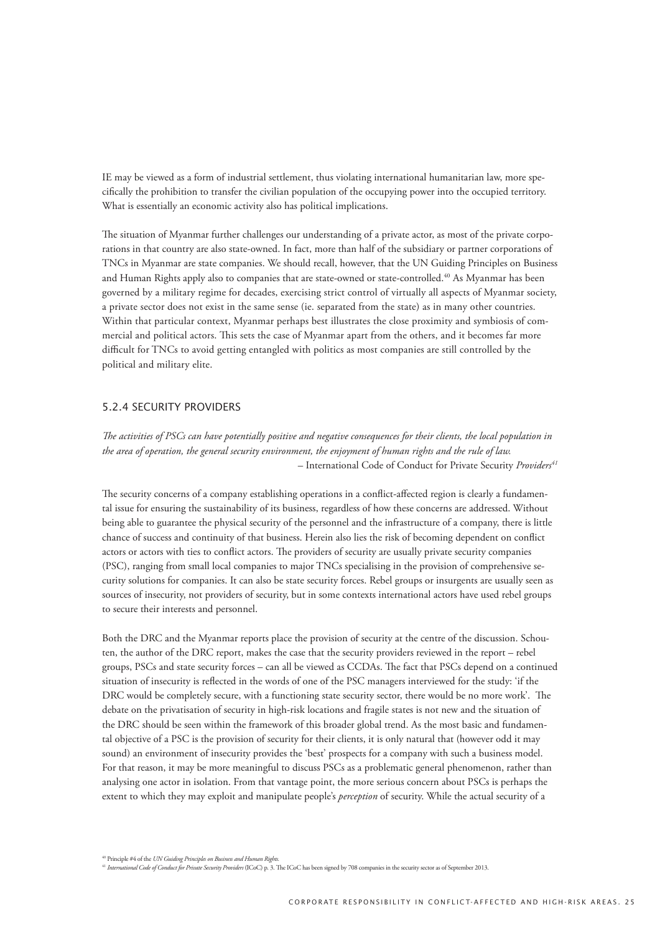IE may be viewed as a form of industrial settlement, thus violating international humanitarian law, more specifically the prohibition to transfer the civilian population of the occupying power into the occupied territory. What is essentially an economic activity also has political implications.

The situation of Myanmar further challenges our understanding of a private actor, as most of the private corporations in that country are also state-owned. In fact, more than half of the subsidiary or partner corporations of TNCs in Myanmar are state companies. We should recall, however, that the UN Guiding Principles on Business and Human Rights apply also to companies that are state-owned or state-controlled.<sup>40</sup> As Myanmar has been governed by a military regime for decades, exercising strict control of virtually all aspects of Myanmar society, a private sector does not exist in the same sense (ie. separated from the state) as in many other countries. Within that particular context, Myanmar perhaps best illustrates the close proximity and symbiosis of commercial and political actors. This sets the case of Myanmar apart from the others, and it becomes far more difficult for TNCs to avoid getting entangled with politics as most companies are still controlled by the political and military elite.

## 5.2.4 Security providers

*The activities of PSCs can have potentially positive and negative consequences for their clients, the local population in the area of operation, the general security environment, the enjoyment of human rights and the rule of law.* – International Code of Conduct for Private Security *Providers41* 

The security concerns of a company establishing operations in a conflict-affected region is clearly a fundamental issue for ensuring the sustainability of its business, regardless of how these concerns are addressed. Without being able to guarantee the physical security of the personnel and the infrastructure of a company, there is little chance of success and continuity of that business. Herein also lies the risk of becoming dependent on conflict actors or actors with ties to conflict actors. The providers of security are usually private security companies (PSC), ranging from small local companies to major TNCs specialising in the provision of comprehensive security solutions for companies. It can also be state security forces. Rebel groups or insurgents are usually seen as sources of insecurity, not providers of security, but in some contexts international actors have used rebel groups to secure their interests and personnel.

Both the DRC and the Myanmar reports place the provision of security at the centre of the discussion. Schouten, the author of the DRC report, makes the case that the security providers reviewed in the report – rebel groups, PSCs and state security forces – can all be viewed as CCDAs. The fact that PSCs depend on a continued situation of insecurity is reflected in the words of one of the PSC managers interviewed for the study: 'if the DRC would be completely secure, with a functioning state security sector, there would be no more work'. The debate on the privatisation of security in high-risk locations and fragile states is not new and the situation of the DRC should be seen within the framework of this broader global trend. As the most basic and fundamental objective of a PSC is the provision of security for their clients, it is only natural that (however odd it may sound) an environment of insecurity provides the 'best' prospects for a company with such a business model. For that reason, it may be more meaningful to discuss PSCs as a problematic general phenomenon, rather than analysing one actor in isolation. From that vantage point, the more serious concern about PSCs is perhaps the extent to which they may exploit and manipulate people's *perception* of security. While the actual security of a

<sup>41</sup> *International Code of Conduct for Private Security Providers* (ICoC) p. 3. The ICoC has been signed by 708 companies in the security sector as of September 2013.

<sup>40</sup> Principle #4 of the *UN Guiding Principles on Business and Human Rights.*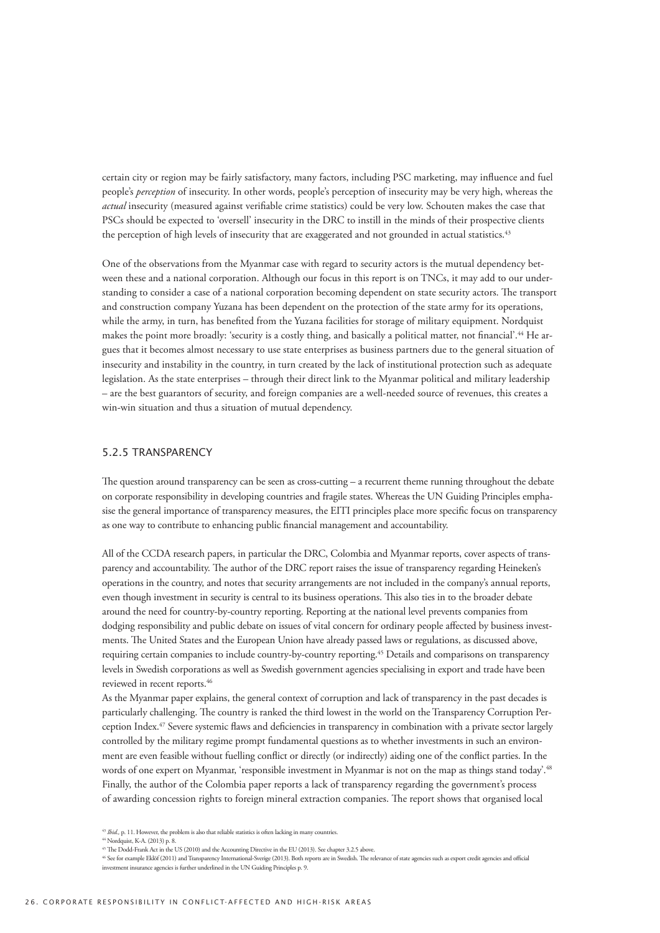certain city or region may be fairly satisfactory, many factors, including PSC marketing, may influence and fuel people's *perception* of insecurity. In other words, people's perception of insecurity may be very high, whereas the *actual* insecurity (measured against verifiable crime statistics) could be very low. Schouten makes the case that PSCs should be expected to 'oversell' insecurity in the DRC to instill in the minds of their prospective clients the perception of high levels of insecurity that are exaggerated and not grounded in actual statistics.<sup>43</sup>

One of the observations from the Myanmar case with regard to security actors is the mutual dependency between these and a national corporation. Although our focus in this report is on TNCs, it may add to our understanding to consider a case of a national corporation becoming dependent on state security actors. The transport and construction company Yuzana has been dependent on the protection of the state army for its operations, while the army, in turn, has benefited from the Yuzana facilities for storage of military equipment. Nordquist makes the point more broadly: 'security is a costly thing, and basically a political matter, not financial'.44 He argues that it becomes almost necessary to use state enterprises as business partners due to the general situation of insecurity and instability in the country, in turn created by the lack of institutional protection such as adequate legislation. As the state enterprises – through their direct link to the Myanmar political and military leadership – are the best guarantors of security, and foreign companies are a well-needed source of revenues, this creates a win-win situation and thus a situation of mutual dependency.

#### 5.2.5 Transparency

The question around transparency can be seen as cross-cutting – a recurrent theme running throughout the debate on corporate responsibility in developing countries and fragile states. Whereas the UN Guiding Principles emphasise the general importance of transparency measures, the EITI principles place more specific focus on transparency as one way to contribute to enhancing public financial management and accountability.

All of the CCDA research papers, in particular the DRC, Colombia and Myanmar reports, cover aspects of transparency and accountability. The author of the DRC report raises the issue of transparency regarding Heineken's operations in the country, and notes that security arrangements are not included in the company's annual reports, even though investment in security is central to its business operations. This also ties in to the broader debate around the need for country-by-country reporting. Reporting at the national level prevents companies from dodging responsibility and public debate on issues of vital concern for ordinary people affected by business investments. The United States and the European Union have already passed laws or regulations, as discussed above, requiring certain companies to include country-by-country reporting.45 Details and comparisons on transparency levels in Swedish corporations as well as Swedish government agencies specialising in export and trade have been reviewed in recent reports.<sup>46</sup>

As the Myanmar paper explains, the general context of corruption and lack of transparency in the past decades is particularly challenging. The country is ranked the third lowest in the world on the Transparency Corruption Perception Index.47 Severe systemic flaws and deficiencies in transparency in combination with a private sector largely controlled by the military regime prompt fundamental questions as to whether investments in such an environment are even feasible without fuelling conflict or directly (or indirectly) aiding one of the conflict parties. In the words of one expert on Myanmar, 'responsible investment in Myanmar is not on the map as things stand today'.<sup>48</sup> Finally, the author of the Colombia paper reports a lack of transparency regarding the government's process of awarding concession rights to foreign mineral extraction companies. The report shows that organised local

44 Nordquist, K-A. (2013) p. 8.

<sup>&</sup>lt;sup>43</sup> *Ibid.*, p. 11. However, the problem is also that reliable statistics is often lacking in many countries.

<sup>45</sup> The Dodd-Frank Act in the US (2010) and the Accounting Directive in the EU (2013). See chapter 3.2.5 above.

<sup>46</sup> See for example Eklöf (2011) and Transparency International-Sverige (2013). Both reports are in Swedish. The relevance of state agencies such as export credit agencies and official investment insurance agencies is further underlined in the UN Guiding Principles p. 9.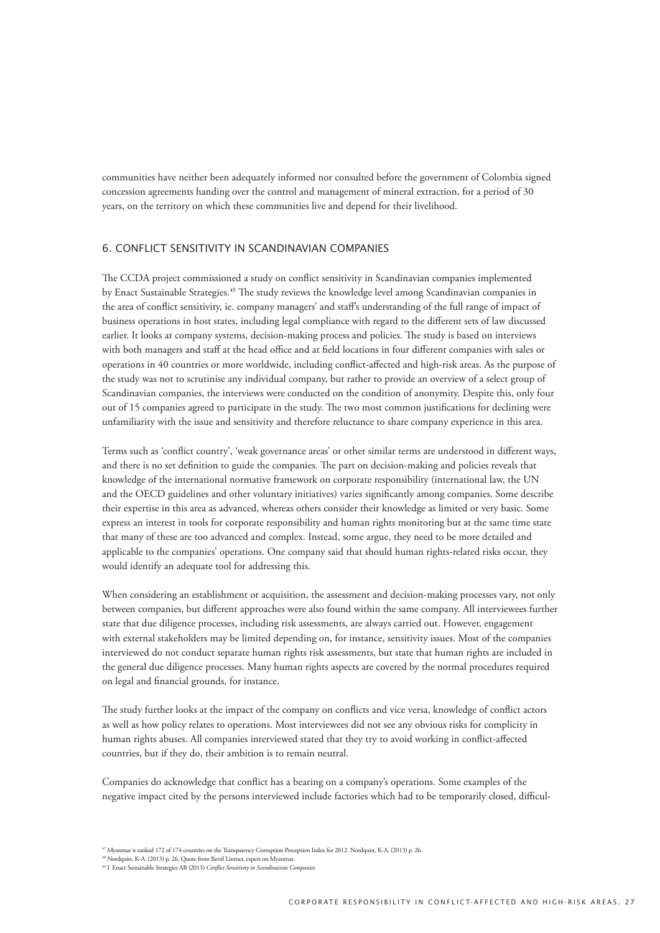communities have neither been adequately informed nor consulted before the government of Colombia signed concession agreements handing over the control and management of mineral extraction, for a period of 30 years, on the territory on which these communities live and depend for their livelihood.

## 6. Conflict sensitivity in Scandinavian companies

The CCDA project commissioned a study on conflict sensitivity in Scandinavian companies implemented by Enact Sustainable Strategies.49 The study reviews the knowledge level among Scandinavian companies in the area of conflict sensitivity, ie. company managers' and staff's understanding of the full range of impact of business operations in host states, including legal compliance with regard to the different sets of law discussed earlier. It looks at company systems, decision-making process and policies. The study is based on interviews with both managers and staff at the head office and at field locations in four different companies with sales or operations in 40 countries or more worldwide, including conflict-affected and high-risk areas. As the purpose of the study was not to scrutinise any individual company, but rather to provide an overview of a select group of Scandinavian companies, the interviews were conducted on the condition of anonymity. Despite this, only four out of 15 companies agreed to participate in the study. The two most common justifications for declining were unfamiliarity with the issue and sensitivity and therefore reluctance to share company experience in this area.

Terms such as 'conflict country', 'weak governance areas' or other similar terms are understood in different ways, and there is no set definition to guide the companies. The part on decision-making and policies reveals that knowledge of the international normative framework on corporate responsibility (international law, the UN and the OECD guidelines and other voluntary initiatives) varies significantly among companies. Some describe their expertise in this area as advanced, whereas others consider their knowledge as limited or very basic. Some express an interest in tools for corporate responsibility and human rights monitoring but at the same time state that many of these are too advanced and complex. Instead, some argue, they need to be more detailed and applicable to the companies' operations. One company said that should human rights-related risks occur, they would identify an adequate tool for addressing this.

When considering an establishment or acquisition, the assessment and decision-making processes vary, not only between companies, but different approaches were also found within the same company. All interviewees further state that due diligence processes, including risk assessments, are always carried out. However, engagement with external stakeholders may be limited depending on, for instance, sensitivity issues. Most of the companies interviewed do not conduct separate human rights risk assessments, but state that human rights are included in the general due diligence processes. Many human rights aspects are covered by the normal procedures required on legal and financial grounds, for instance.

The study further looks at the impact of the company on conflicts and vice versa, knowledge of conflict actors as well as how policy relates to operations. Most interviewees did not see any obvious risks for complicity in human rights abuses. All companies interviewed stated that they try to avoid working in conflict-affected countries, but if they do, their ambition is to remain neutral.

Companies do acknowledge that conflict has a bearing on a company's operations. Some examples of the negative impact cited by the persons interviewed include factories which had to be temporarily closed, difficul-

<sup>47</sup> Myanmar is ranked 172 of 174 countries on the Transparency Corruption Perception Index for 2012. Nordquist, K-A. (2013) p. 26. 48 Nordquist, K-A. (2013) p. 26. Quote from Bertil Lintner, expert on Myanmar.

<sup>49</sup> I Enact Sustainable Strategies AB (2013) *Conflict Sensitivity in Scandinavian Companies.*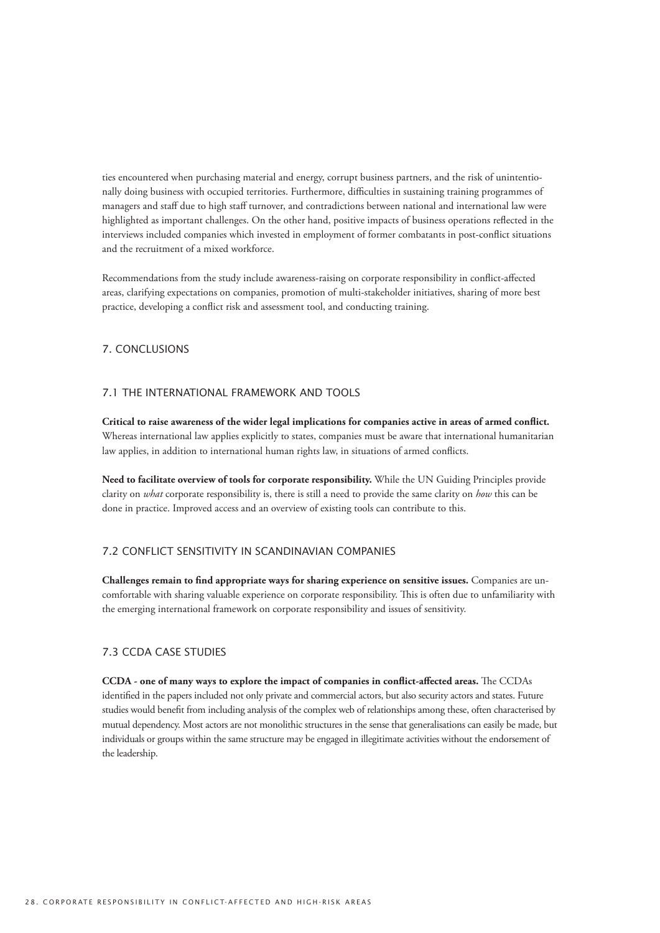ties encountered when purchasing material and energy, corrupt business partners, and the risk of unintentionally doing business with occupied territories. Furthermore, difficulties in sustaining training programmes of managers and staff due to high staff turnover, and contradictions between national and international law were highlighted as important challenges. On the other hand, positive impacts of business operations reflected in the interviews included companies which invested in employment of former combatants in post-conflict situations and the recruitment of a mixed workforce.

Recommendations from the study include awareness-raising on corporate responsibility in conflict-affected areas, clarifying expectations on companies, promotion of multi-stakeholder initiatives, sharing of more best practice, developing a conflict risk and assessment tool, and conducting training.

# 7. Conclusions

## 7.1 The international framework and tools

**Critical to raise awareness of the wider legal implications for companies active in areas of armed conflict.**  Whereas international law applies explicitly to states, companies must be aware that international humanitarian law applies, in addition to international human rights law, in situations of armed conflicts.

**Need to facilitate overview of tools for corporate responsibility.** While the UN Guiding Principles provide clarity on *what* corporate responsibility is, there is still a need to provide the same clarity on *how* this can be done in practice. Improved access and an overview of existing tools can contribute to this.

# 7.2 Conflict sensitivity in Scandinavian companies

**Challenges remain to find appropriate ways for sharing experience on sensitive issues.** Companies are uncomfortable with sharing valuable experience on corporate responsibility. This is often due to unfamiliarity with the emerging international framework on corporate responsibility and issues of sensitivity.

## 7.3 CCDA case studies

**CCDA - one of many ways to explore the impact of companies in conflict-affected areas.** The CCDAs identified in the papers included not only private and commercial actors, but also security actors and states. Future studies would benefit from including analysis of the complex web of relationships among these, often characterised by mutual dependency. Most actors are not monolithic structures in the sense that generalisations can easily be made, but individuals or groups within the same structure may be engaged in illegitimate activities without the endorsement of the leadership.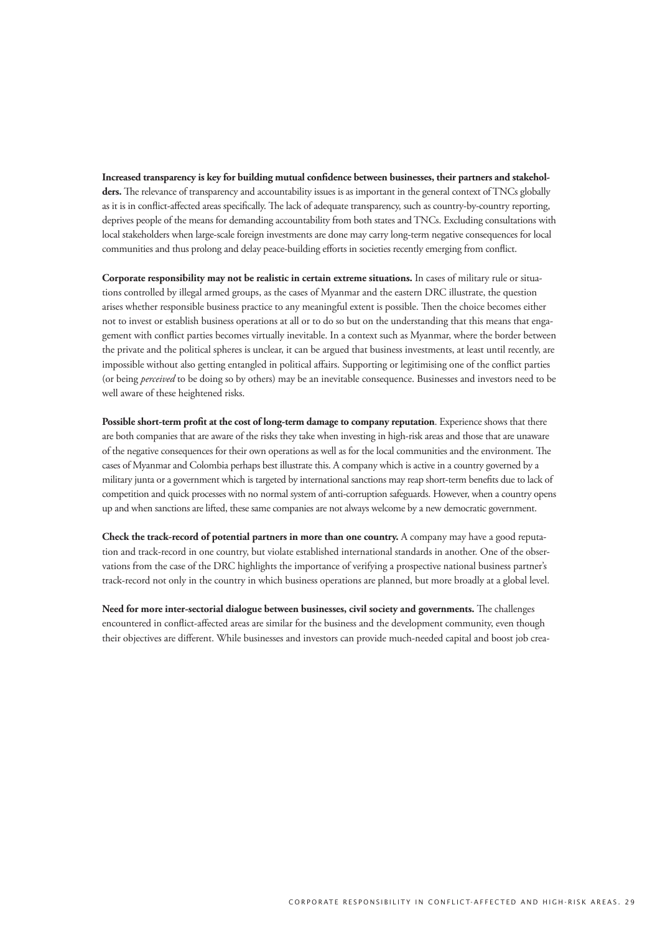**Increased transparency is key for building mutual confidence between businesses, their partners and stakeholders.** The relevance of transparency and accountability issues is as important in the general context of TNCs globally as it is in conflict-affected areas specifically. The lack of adequate transparency, such as country-by-country reporting, deprives people of the means for demanding accountability from both states and TNCs. Excluding consultations with local stakeholders when large-scale foreign investments are done may carry long-term negative consequences for local communities and thus prolong and delay peace-building efforts in societies recently emerging from conflict.

**Corporate responsibility may not be realistic in certain extreme situations.** In cases of military rule or situations controlled by illegal armed groups, as the cases of Myanmar and the eastern DRC illustrate, the question arises whether responsible business practice to any meaningful extent is possible. Then the choice becomes either not to invest or establish business operations at all or to do so but on the understanding that this means that engagement with conflict parties becomes virtually inevitable. In a context such as Myanmar, where the border between the private and the political spheres is unclear, it can be argued that business investments, at least until recently, are impossible without also getting entangled in political affairs. Supporting or legitimising one of the conflict parties (or being *perceived* to be doing so by others) may be an inevitable consequence. Businesses and investors need to be well aware of these heightened risks.

**Possible short-term profit at the cost of long-term damage to company reputation**. Experience shows that there are both companies that are aware of the risks they take when investing in high-risk areas and those that are unaware of the negative consequences for their own operations as well as for the local communities and the environment. The cases of Myanmar and Colombia perhaps best illustrate this. A company which is active in a country governed by a military junta or a government which is targeted by international sanctions may reap short-term benefits due to lack of competition and quick processes with no normal system of anti-corruption safeguards. However, when a country opens up and when sanctions are lifted, these same companies are not always welcome by a new democratic government.

**Check the track-record of potential partners in more than one country.** A company may have a good reputation and track-record in one country, but violate established international standards in another. One of the observations from the case of the DRC highlights the importance of verifying a prospective national business partner's track-record not only in the country in which business operations are planned, but more broadly at a global level.

**Need for more inter-sectorial dialogue between businesses, civil society and governments.** The challenges encountered in conflict-affected areas are similar for the business and the development community, even though their objectives are different. While businesses and investors can provide much-needed capital and boost job crea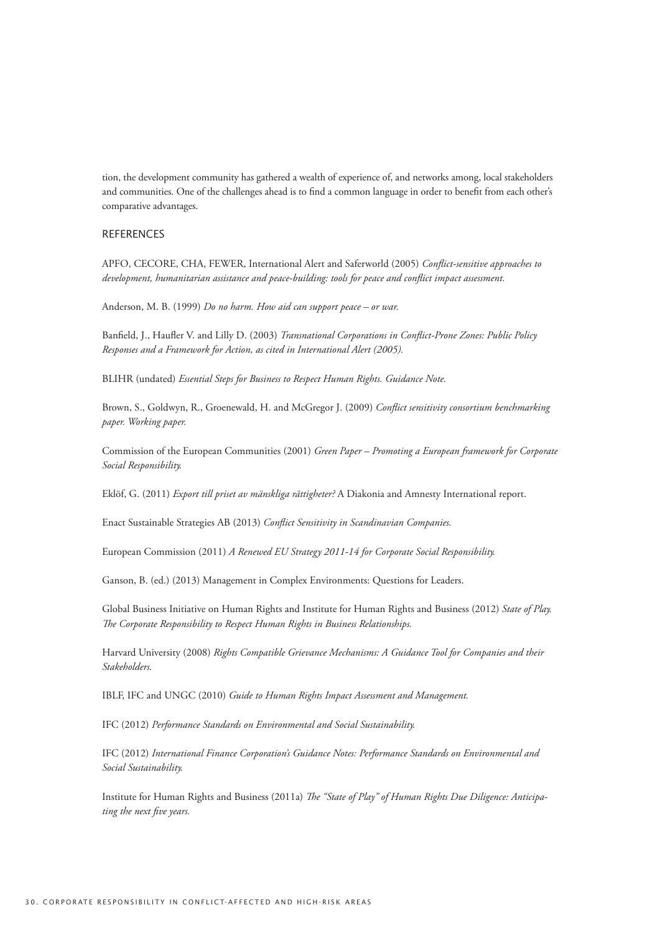tion, the development community has gathered a wealth of experience of, and networks among, local stakeholders and communities. One of the challenges ahead is to find a common language in order to benefit from each other's comparative advantages.

## **REFERENCES**

APFO, CECORE, CHA, FEWER, International Alert and Saferworld (2005) Conflict-sensitive approaches to development, humanitarian assistance and peace-building: tools for peace and conflict impact assessment.

Anderson, M. B. (1999) Do no harm. How aid can support peace - or war.

Banfield, J., Haufler V. and Lilly D. (2003) Transnational Corporations in Conflict-Prone Zones: Public Policy Responses and a Framework for Action, as cited in International Alert (2005).

BLIHR (undated) Essential Steps for Business to Respect Human Rights. Guidance Note.

Brown, S., Goldwyn, R., Groenewald, H. and McGregor J. (2009) Conflict sensitivity consortium benchmarking paper. Working paper.

Commission of the European Communities (2001) Green Paper - Promoting a European framework for Corporate Social Responsibility.

Eklöf, G. (2011) Export till priset av mänskliga rättigheter? A Diakonia and Amnesty International report.

Enact Sustainable Strategies AB (2013) Conflict Sensitivity in Scandinavian Companies.

European Commission (2011) A Renewed EU Strategy 2011-14 for Corporate Social Responsibility.

Ganson, B. (ed.) (2013) Management in Complex Environments: Questions for Leaders.

Global Business Initiative on Human Rights and Institute for Human Rights and Business (2012) State of Play. The Corporate Responsibility to Respect Human Rights in Business Relationships.

Harvard University (2008) Rights Compatible Grievance Mechanisms: A Guidance Tool for Companies and their Stakeholders.

IBLF, IFC and UNGC (2010) Guide to Human Rights Impact Assessment and Management.

IFC (2012) Performance Standards on Environmental and Social Sustainability.

IFC (2012) International Finance Corporation's Guidance Notes: Performance Standards on Environmental and Social Sustainability.

Institute for Human Rights and Business (2011a) The "State of Play" of Human Rights Due Diligence: Anticipating the next five years.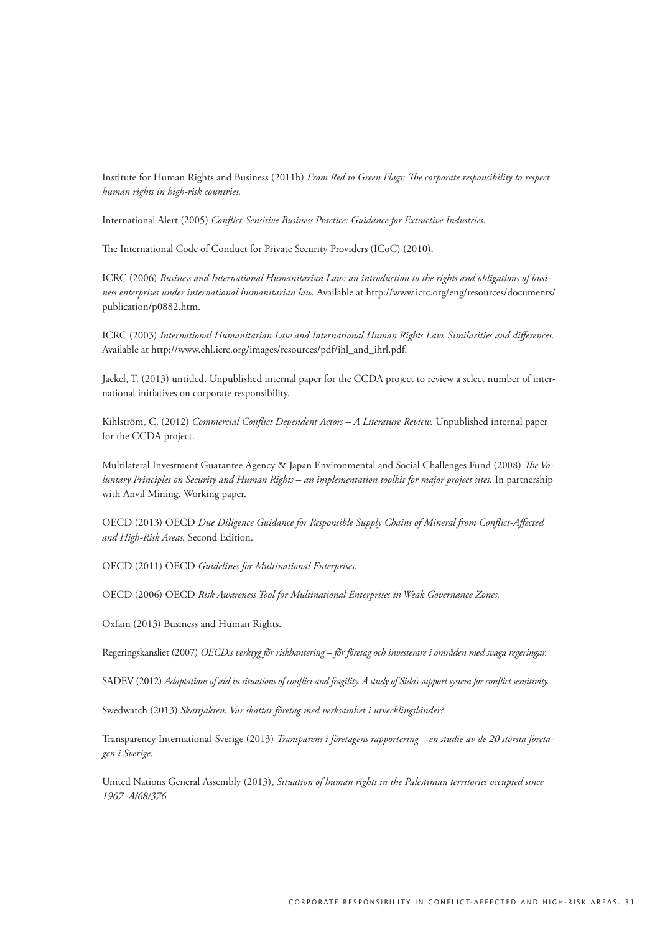Institute for Human Rights and Business (2011b) *From Red to Green Flags: The corporate responsibility to respect human rights in high-risk countries.*

International Alert (2005) *Conflict-Sensitive Business Practice: Guidance for Extractive Industries.*

The International Code of Conduct for Private Security Providers (ICoC) (2010).

ICRC (2006) *Business and International Humanitarian Law: an introduction to the rights and obligations of business enterprises under international humanitarian law.* Available at http://www.icrc.org/eng/resources/documents/ publication/p0882.htm.

ICRC (2003) *International Humanitarian Law and International Human Rights Law. Similarities and differences.* Available at http://www.ehl.icrc.org/images/resources/pdf/ihl\_and\_ihrl.pdf.

Jaekel, T. (2013) untitled. Unpublished internal paper for the CCDA project to review a select number of international initiatives on corporate responsibility.

Kihlström, C. (2012) *Commercial Conflict Dependent Actors – A Literature Review.* Unpublished internal paper for the CCDA project.

Multilateral Investment Guarantee Agency & Japan Environmental and Social Challenges Fund (2008) *The Voluntary Principles on Security and Human Rights – an implementation toolkit for major project sites.* In partnership with Anvil Mining. Working paper.

OECD (2013) OECD *Due Diligence Guidance for Responsible Supply Chains of Mineral from Conflict-Affected and High-Risk Areas.* Second Edition.

OECD (2011) OECD *Guidelines for Multinational Enterprises.*

OECD (2006) OECD *Risk Awareness Tool for Multinational Enterprises in Weak Governance Zones.*

Oxfam (2013) Business and Human Rights.

Regeringskansliet (2007) *OECD:s verktyg för riskhantering – för företag och investerare i områden med svaga regeringar.*

SADEV (2012) *Adaptations of aid in situations of conflict and fragility. A study of Sida's support system for conflict sensitivity.*

Swedwatch (2013) *Skattjakten. Var skattar företag med verksamhet i utvecklingsländer?*

Transparency International-Sverige (2013) *Transparens i företagens rapportering – en studie av de 20 största företagen i Sverige.*

United Nations General Assembly (2013), *Situation of human rights in the Palestinian territories occupied since 1967. A/68/376*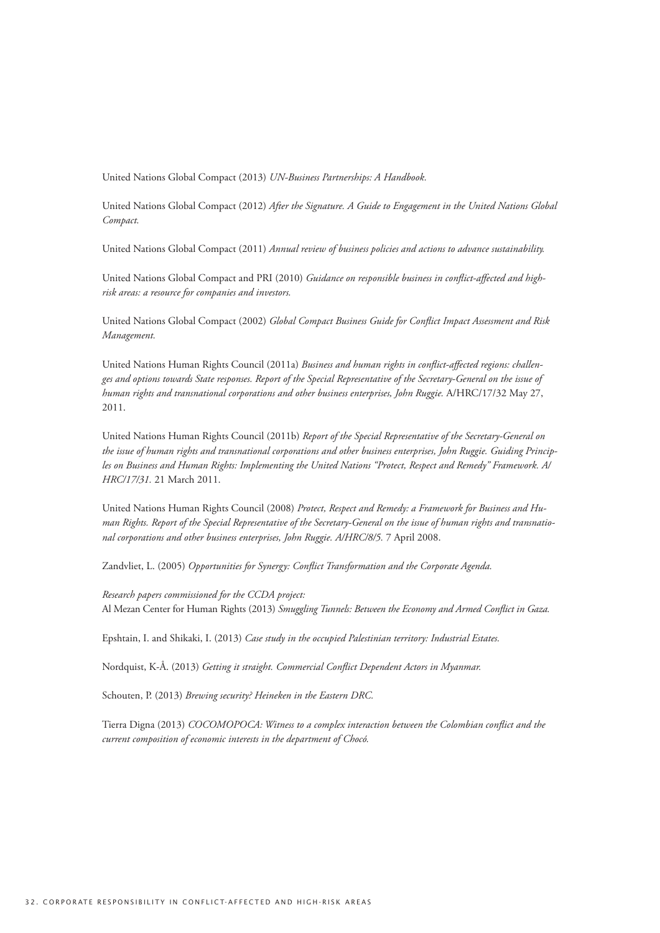United Nations Global Compact (2013) UN-Business Partnerships: A Handbook.

United Nations Global Compact (2012) After the Signature. A Guide to Engagement in the United Nations Global Compact.

United Nations Global Compact (2011) Annual review of business policies and actions to advance sustainability.

United Nations Global Compact and PRI (2010) Guidance on responsible business in conflict-affected and highrisk areas: a resource for companies and investors.

United Nations Global Compact (2002) Global Compact Business Guide for Conflict Impact Assessment and Risk Management.

United Nations Human Rights Council (2011a) Business and human rights in conflict-affected regions: challenges and options towards State responses. Report of the Special Representative of the Secretary-General on the issue of human rights and transnational corporations and other business enterprises, John Ruggie. A/HRC/17/32 May 27, 2011.

United Nations Human Rights Council (2011b) Report of the Special Representative of the Secretary-General on the issue of human rights and transnational corporations and other business enterprises, John Ruggie. Guiding Principles on Business and Human Rights: Implementing the United Nations "Protect, Respect and Remedy" Framework. A/ HRC/17/31, 21 March 2011.

United Nations Human Rights Council (2008) Protect, Respect and Remedy: a Framework for Business and Human Rights. Report of the Special Representative of the Secretary-General on the issue of human rights and transnational corporations and other business enterprises, John Ruggie. A/HRC/8/5. 7 April 2008.

Zandvliet, L. (2005) Opportunities for Synergy: Conflict Transformation and the Corporate Agenda.

Research papers commissioned for the CCDA project: Al Mezan Center for Human Rights (2013) Smuggling Tunnels: Between the Economy and Armed Conflict in Gaza.

Epshtain, I. and Shikaki, I. (2013) Case study in the occupied Palestinian territory: Industrial Estates.

Nordquist, K-Å. (2013) Getting it straight. Commercial Conflict Dependent Actors in Myanmar.

Schouten, P. (2013) Brewing security? Heineken in the Eastern DRC.

Tierra Digna (2013) COCOMOPOCA: Witness to a complex interaction between the Colombian conflict and the current composition of economic interests in the department of Chocó.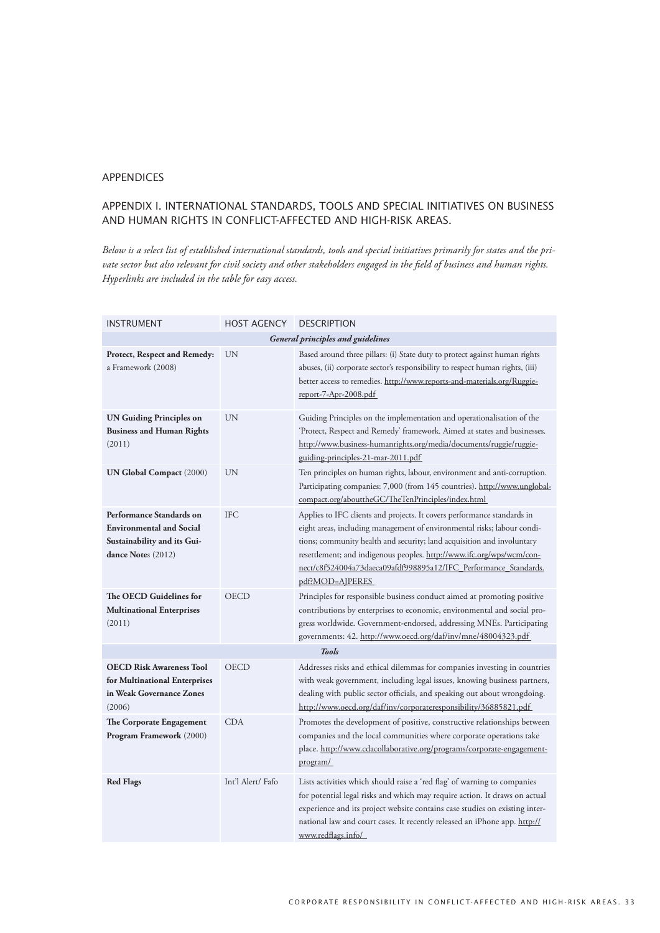#### **APPENDICES**

# Appendix I. International standards, tools and special initiatives on business and human rights in conflict-affected and high-risk areas.

*Below is a select list of established international standards, tools and special initiatives primarily for states and the private sector but also relevant for civil society and other stakeholders engaged in the field of business and human rights. Hyperlinks are included in the table for easy access.*

| INSTRUMENT                                                                                                       | <b>HOST AGENCY</b> | <b>DESCRIPTION</b>                                                                                                                                                                                                                                                                                                                                                                           |
|------------------------------------------------------------------------------------------------------------------|--------------------|----------------------------------------------------------------------------------------------------------------------------------------------------------------------------------------------------------------------------------------------------------------------------------------------------------------------------------------------------------------------------------------------|
|                                                                                                                  |                    | <b>General principles and guidelines</b>                                                                                                                                                                                                                                                                                                                                                     |
| Protect, Respect and Remedy:<br>a Framework (2008)                                                               | UN                 | Based around three pillars: (i) State duty to protect against human rights<br>abuses, (ii) corporate sector's responsibility to respect human rights, (iii)<br>better access to remedies. http://www.reports-and-materials.org/Ruggie-<br>report-7-Apr-2008.pdf                                                                                                                              |
| <b>UN Guiding Principles on</b><br><b>Business and Human Rights</b><br>(2011)                                    | UN                 | Guiding Principles on the implementation and operationalisation of the<br>'Protect, Respect and Remedy' framework. Aimed at states and businesses.<br>http://www.business-humanrights.org/media/documents/ruggie/ruggie-<br>guiding-principles-21-mar-2011.pdf                                                                                                                               |
| <b>UN Global Compact (2000)</b>                                                                                  | <b>UN</b>          | Ten principles on human rights, labour, environment and anti-corruption.<br>Participating companies: 7,000 (from 145 countries). http://www.unglobal-<br>compact.org/abouttheGC/TheTenPrinciples/index.html                                                                                                                                                                                  |
| Performance Standards on<br><b>Environmental and Social</b><br>Sustainability and its Gui-<br>dance Notes (2012) | <b>IFC</b>         | Applies to IFC clients and projects. It covers performance standards in<br>eight areas, including management of environmental risks; labour condi-<br>tions; community health and security; land acquisition and involuntary<br>resettlement; and indigenous peoples. http://www.ifc.org/wps/wcm/con-<br>nect/c8f524004a73daeca09afdf998895a12/IFC_Performance_Standards.<br>pdf?MOD=AJPERES |
| The OECD Guidelines for<br><b>Multinational Enterprises</b><br>(2011)                                            | OECD               | Principles for responsible business conduct aimed at promoting positive<br>contributions by enterprises to economic, environmental and social pro-<br>gress worldwide. Government-endorsed, addressing MNEs. Participating<br>governments: 42. http://www.oecd.org/daf/inv/mne/48004323.pdf                                                                                                  |
|                                                                                                                  |                    | <b>Tools</b>                                                                                                                                                                                                                                                                                                                                                                                 |
| <b>OECD Risk Awareness Tool</b><br>for Multinational Enterprises<br>in Weak Governance Zones<br>(2006)           | <b>OECD</b>        | Addresses risks and ethical dilemmas for companies investing in countries<br>with weak government, including legal issues, knowing business partners,<br>dealing with public sector officials, and speaking out about wrongdoing.<br>http://www.oecd.org/daf/inv/corporateresponsibility/36885821.pdf                                                                                        |
| The Corporate Engagement<br>Program Framework (2000)                                                             | <b>CDA</b>         | Promotes the development of positive, constructive relationships between<br>companies and the local communities where corporate operations take<br>place. http://www.cdacollaborative.org/programs/corporate-engagement-<br>program/                                                                                                                                                         |
| <b>Red Flags</b>                                                                                                 | Int'l Alert/Fafo   | Lists activities which should raise a 'red flag' of warning to companies<br>for potential legal risks and which may require action. It draws on actual<br>experience and its project website contains case studies on existing inter-<br>national law and court cases. It recently released an iPhone app. http://<br>www.redflags.info/                                                     |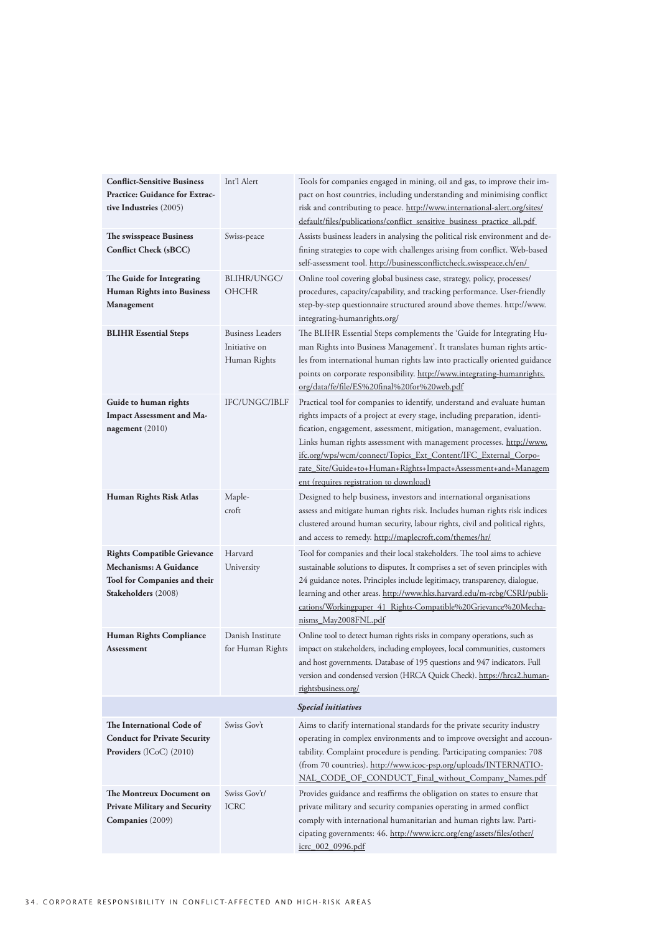| <b>Conflict-Sensitive Business</b><br><b>Practice: Guidance for Extrac-</b><br>tive Industries (2005)<br>The swisspeace Business  | Int'l Alert<br>Swiss-peace                               | Tools for companies engaged in mining, oil and gas, to improve their im-<br>pact on host countries, including understanding and minimising conflict<br>risk and contributing to peace. http://www.international-alert.org/sites/<br>default/files/publications/conflict_sensitive_business_practice_all.pdf<br>Assists business leaders in analysing the political risk environment and de-                                                                                          |  |
|-----------------------------------------------------------------------------------------------------------------------------------|----------------------------------------------------------|--------------------------------------------------------------------------------------------------------------------------------------------------------------------------------------------------------------------------------------------------------------------------------------------------------------------------------------------------------------------------------------------------------------------------------------------------------------------------------------|--|
| <b>Conflict Check (sBCC)</b>                                                                                                      |                                                          | fining strategies to cope with challenges arising from conflict. Web-based<br>self-assessment tool. http://businessconflictcheck.swisspeace.ch/en/                                                                                                                                                                                                                                                                                                                                   |  |
| The Guide for Integrating<br><b>Human Rights into Business</b><br>Management                                                      | BLIHR/UNGC/<br><b>OHCHR</b>                              | Online tool covering global business case, strategy, policy, processes/<br>procedures, capacity/capability, and tracking performance. User-friendly<br>step-by-step questionnaire structured around above themes. http://www.<br>integrating-humanrights.org/                                                                                                                                                                                                                        |  |
| <b>BLIHR Essential Steps</b>                                                                                                      | <b>Business Leaders</b><br>Initiative on<br>Human Rights | The BLIHR Essential Steps complements the 'Guide for Integrating Hu-<br>man Rights into Business Management'. It translates human rights artic-<br>les from international human rights law into practically oriented guidance<br>points on corporate responsibility. http://www.integrating-humanrights.<br>org/data/fe/file/ES%20final%20for%20web.pdf                                                                                                                              |  |
| Guide to human rights<br>Impact Assessment and Ma-<br>nagement (2010)                                                             | <b>IFC/UNGC/IBLF</b>                                     | Practical tool for companies to identify, understand and evaluate human<br>rights impacts of a project at every stage, including preparation, identi-<br>fication, engagement, assessment, mitigation, management, evaluation.<br>Links human rights assessment with management processes. http://www.<br>ifc.org/wps/wcm/connect/Topics_Ext_Content/IFC_External_Corpo-<br>rate_Site/Guide+to+Human+Rights+Impact+Assessment+and+Managem<br>ent (requires registration to download) |  |
| Human Rights Risk Atlas                                                                                                           | Maple-<br>croft                                          | Designed to help business, investors and international organisations<br>assess and mitigate human rights risk. Includes human rights risk indices<br>clustered around human security, labour rights, civil and political rights,<br>and access to remedy. http://maplecroft.com/themes/hr/                                                                                                                                                                                           |  |
| <b>Rights Compatible Grievance</b><br><b>Mechanisms: A Guidance</b><br><b>Tool for Companies and their</b><br>Stakeholders (2008) | Harvard<br>University                                    | Tool for companies and their local stakeholders. The tool aims to achieve<br>sustainable solutions to disputes. It comprises a set of seven principles with<br>24 guidance notes. Principles include legitimacy, transparency, dialogue,<br>learning and other areas. http://www.hks.harvard.edu/m-rcbg/CSRI/publi-<br>cations/Workingpaper_41_Rights-Compatible%20Grievance%20Mecha-<br>nisms_May2008FNL.pdf                                                                        |  |
| Human Rights Compliance<br>Assessment                                                                                             | Danish Institute<br>for Human Rights                     | Online tool to detect human rights risks in company operations, such as<br>impact on stakeholders, including employees, local communities, customers<br>and host governments. Database of 195 questions and 947 indicators. Full<br>version and condensed version (HRCA Quick Check). https://hrca2.human-<br>rightsbusiness.org/                                                                                                                                                    |  |
| <b>Special initiatives</b>                                                                                                        |                                                          |                                                                                                                                                                                                                                                                                                                                                                                                                                                                                      |  |
| The International Code of<br><b>Conduct for Private Security</b><br><b>Providers</b> (ICoC) $(2010)$                              | Swiss Gov't                                              | Aims to clarify international standards for the private security industry<br>operating in complex environments and to improve oversight and accoun-<br>tability. Complaint procedure is pending. Participating companies: 708<br>(from 70 countries). http://www.icoc-psp.org/uploads/INTERNATIO-<br>NAL_CODE_OF_CONDUCT_Final_without_Company_Names.pdf                                                                                                                             |  |
| The Montreux Document on<br><b>Private Military and Security</b><br>Companies (2009)                                              | Swiss Gov't/<br><b>ICRC</b>                              | Provides guidance and reaffirms the obligation on states to ensure that<br>private military and security companies operating in armed conflict<br>comply with international humanitarian and human rights law. Parti-<br>cipating governments: 46. http://www.icrc.org/eng/assets/files/other/<br><u>icrc_002_0996.pdf</u>                                                                                                                                                           |  |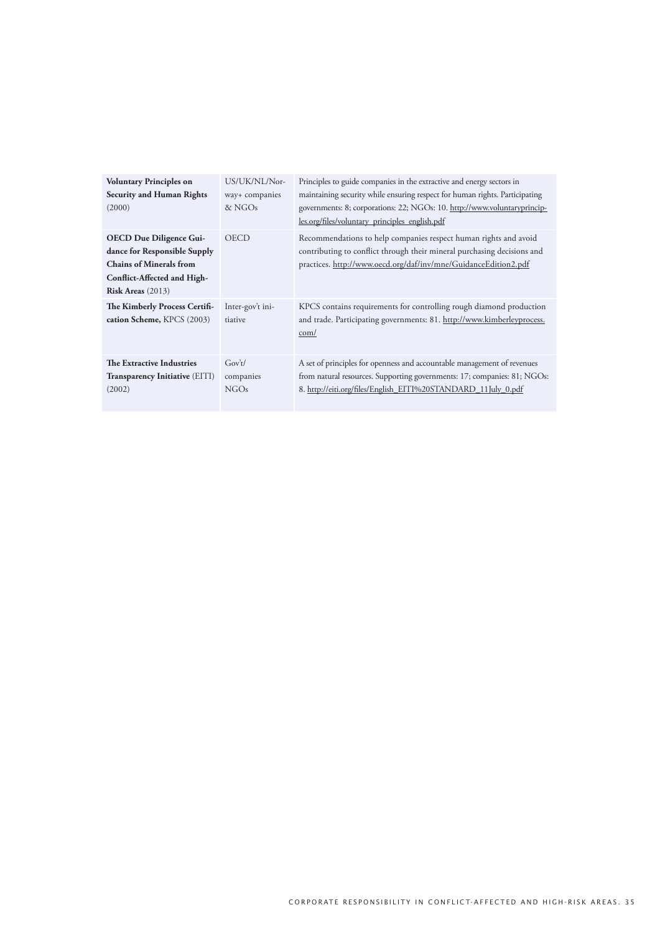| <b>Voluntary Principles on</b><br><b>Security and Human Rights</b><br>(2000)                                                                                | US/UK/NL/Nor-<br>way+ companies<br>& NGOs | Principles to guide companies in the extractive and energy sectors in<br>maintaining security while ensuring respect for human rights. Participating<br>governments: 8; corporations: 22; NGOs: 10. http://www.voluntaryprincip-<br>les.org/files/voluntary_principles_english.pdf |
|-------------------------------------------------------------------------------------------------------------------------------------------------------------|-------------------------------------------|------------------------------------------------------------------------------------------------------------------------------------------------------------------------------------------------------------------------------------------------------------------------------------|
| <b>OECD Due Diligence Gui-</b><br>dance for Responsible Supply<br><b>Chains of Minerals from</b><br>Conflict-Affected and High-<br><b>Risk Areas</b> (2013) | <b>OECD</b>                               | Recommendations to help companies respect human rights and avoid<br>contributing to conflict through their mineral purchasing decisions and<br>practices. http://www.oecd.org/daf/inv/mne/GuidanceEdition2.pdf                                                                     |
| The Kimberly Process Certifi-<br>cation Scheme, KPCS (2003)                                                                                                 | Inter-gov't ini-<br>tiative               | KPCS contains requirements for controlling rough diamond production<br>and trade. Participating governments: 81. http://www.kimberleyprocess.<br>com/                                                                                                                              |
| The Extractive Industries<br><b>Transparency Initiative (EITI)</b><br>(2002)                                                                                | Gov't/<br>companies<br>NGOs               | A set of principles for openness and accountable management of revenues<br>from natural resources. Supporting governments: 17; companies: 81; NGOs:<br>8. http://eiti.org/files/English_EITI%20STANDARD_11July_0.pdf                                                               |